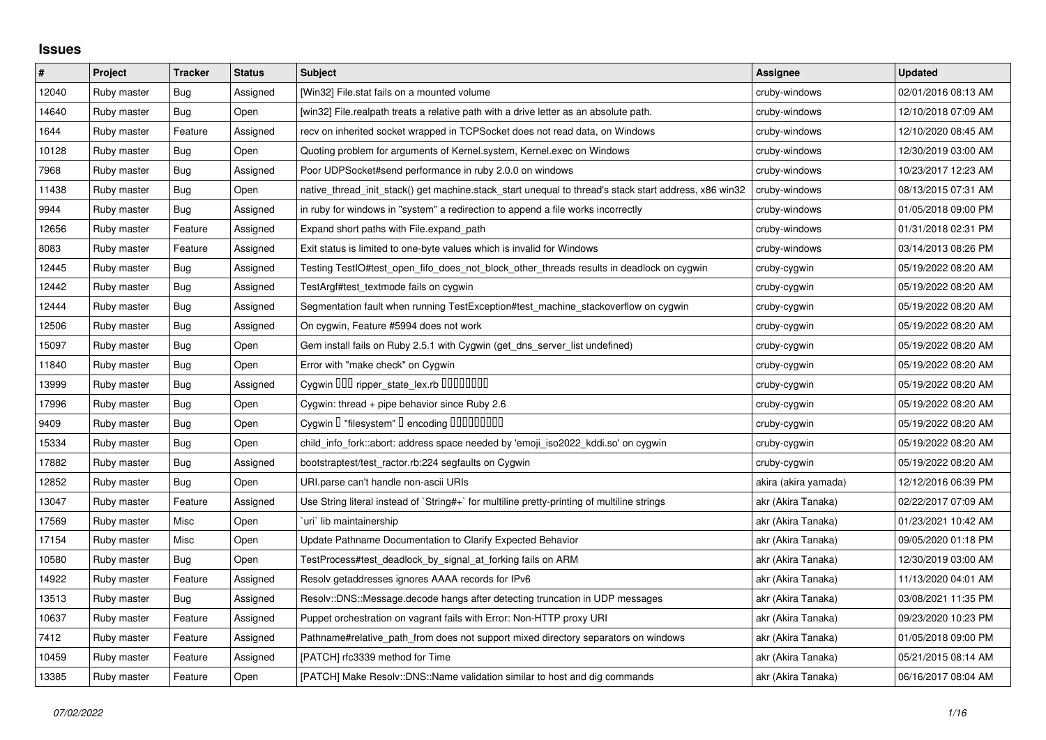## **Issues**

| $\#$  | Project     | <b>Tracker</b> | <b>Status</b> | <b>Subject</b>                                                                                        | Assignee             | <b>Updated</b>      |
|-------|-------------|----------------|---------------|-------------------------------------------------------------------------------------------------------|----------------------|---------------------|
| 12040 | Ruby master | Bug            | Assigned      | [Win32] File.stat fails on a mounted volume                                                           | cruby-windows        | 02/01/2016 08:13 AM |
| 14640 | Ruby master | <b>Bug</b>     | Open          | [win32] File.realpath treats a relative path with a drive letter as an absolute path.                 | cruby-windows        | 12/10/2018 07:09 AM |
| 1644  | Ruby master | Feature        | Assigned      | recv on inherited socket wrapped in TCPSocket does not read data, on Windows                          | cruby-windows        | 12/10/2020 08:45 AM |
| 10128 | Ruby master | <b>Bug</b>     | Open          | Quoting problem for arguments of Kernel.system, Kernel.exec on Windows                                | cruby-windows        | 12/30/2019 03:00 AM |
| 7968  | Ruby master | Bug            | Assigned      | Poor UDPSocket#send performance in ruby 2.0.0 on windows                                              | cruby-windows        | 10/23/2017 12:23 AM |
| 11438 | Ruby master | <b>Bug</b>     | Open          | native_thread_init_stack() get machine.stack_start unequal to thread's stack start address, x86 win32 | cruby-windows        | 08/13/2015 07:31 AM |
| 9944  | Ruby master | Bug            | Assigned      | in ruby for windows in "system" a redirection to append a file works incorrectly                      | cruby-windows        | 01/05/2018 09:00 PM |
| 12656 | Ruby master | Feature        | Assigned      | Expand short paths with File.expand path                                                              | cruby-windows        | 01/31/2018 02:31 PM |
| 8083  | Ruby master | Feature        | Assigned      | Exit status is limited to one-byte values which is invalid for Windows                                | cruby-windows        | 03/14/2013 08:26 PM |
| 12445 | Ruby master | <b>Bug</b>     | Assigned      | Testing TestIO#test_open_fifo_does_not_block_other_threads results in deadlock on cygwin              | cruby-cygwin         | 05/19/2022 08:20 AM |
| 12442 | Ruby master | Bug            | Assigned      | TestArgf#test textmode fails on cygwin                                                                | cruby-cygwin         | 05/19/2022 08:20 AM |
| 12444 | Ruby master | <b>Bug</b>     | Assigned      | Segmentation fault when running TestException#test_machine_stackoverflow on cygwin                    | cruby-cygwin         | 05/19/2022 08:20 AM |
| 12506 | Ruby master | Bug            | Assigned      | On cygwin, Feature #5994 does not work                                                                | cruby-cygwin         | 05/19/2022 08:20 AM |
| 15097 | Ruby master | Bug            | Open          | Gem install fails on Ruby 2.5.1 with Cygwin (get_dns_server_list undefined)                           | cruby-cygwin         | 05/19/2022 08:20 AM |
| 11840 | Ruby master | <b>Bug</b>     | Open          | Error with "make check" on Cygwin                                                                     | cruby-cygwin         | 05/19/2022 08:20 AM |
| 13999 | Ruby master | Bug            | Assigned      | Cygwin 000 ripper_state_lex.rb 0000000                                                                | cruby-cygwin         | 05/19/2022 08:20 AM |
| 17996 | Ruby master | Bug            | Open          | Cygwin: thread + pipe behavior since Ruby 2.6                                                         | cruby-cygwin         | 05/19/2022 08:20 AM |
| 9409  | Ruby master | <b>Bug</b>     | Open          | Cygwin I "filesystem" I encoding IIIIIIIIIIIII                                                        | cruby-cygwin         | 05/19/2022 08:20 AM |
| 15334 | Ruby master | Bug            | Open          | child_info_fork::abort: address space needed by 'emoji_iso2022_kddi.so' on cygwin                     | cruby-cygwin         | 05/19/2022 08:20 AM |
| 17882 | Ruby master | Bug            | Assigned      | bootstraptest/test_ractor.rb:224 segfaults on Cygwin                                                  | cruby-cygwin         | 05/19/2022 08:20 AM |
| 12852 | Ruby master | <b>Bug</b>     | Open          | URI.parse can't handle non-ascii URIs                                                                 | akira (akira yamada) | 12/12/2016 06:39 PM |
| 13047 | Ruby master | Feature        | Assigned      | Use String literal instead of `String#+` for multiline pretty-printing of multiline strings           | akr (Akira Tanaka)   | 02/22/2017 07:09 AM |
| 17569 | Ruby master | Misc           | Open          | uri`lib maintainership                                                                                | akr (Akira Tanaka)   | 01/23/2021 10:42 AM |
| 17154 | Ruby master | Misc           | Open          | Update Pathname Documentation to Clarify Expected Behavior                                            | akr (Akira Tanaka)   | 09/05/2020 01:18 PM |
| 10580 | Ruby master | Bug            | Open          | TestProcess#test_deadlock_by_signal_at_forking fails on ARM                                           | akr (Akira Tanaka)   | 12/30/2019 03:00 AM |
| 14922 | Ruby master | Feature        | Assigned      | Resolv getaddresses ignores AAAA records for IPv6                                                     | akr (Akira Tanaka)   | 11/13/2020 04:01 AM |
| 13513 | Ruby master | <b>Bug</b>     | Assigned      | Resolv::DNS::Message.decode hangs after detecting truncation in UDP messages                          | akr (Akira Tanaka)   | 03/08/2021 11:35 PM |
| 10637 | Ruby master | Feature        | Assigned      | Puppet orchestration on vagrant fails with Error: Non-HTTP proxy URI                                  | akr (Akira Tanaka)   | 09/23/2020 10:23 PM |
| 7412  | Ruby master | Feature        | Assigned      | Pathname#relative_path_from does not support mixed directory separators on windows                    | akr (Akira Tanaka)   | 01/05/2018 09:00 PM |
| 10459 | Ruby master | Feature        | Assigned      | [PATCH] rfc3339 method for Time                                                                       | akr (Akira Tanaka)   | 05/21/2015 08:14 AM |
| 13385 | Ruby master | Feature        | Open          | [PATCH] Make Resolv::DNS::Name validation similar to host and dig commands                            | akr (Akira Tanaka)   | 06/16/2017 08:04 AM |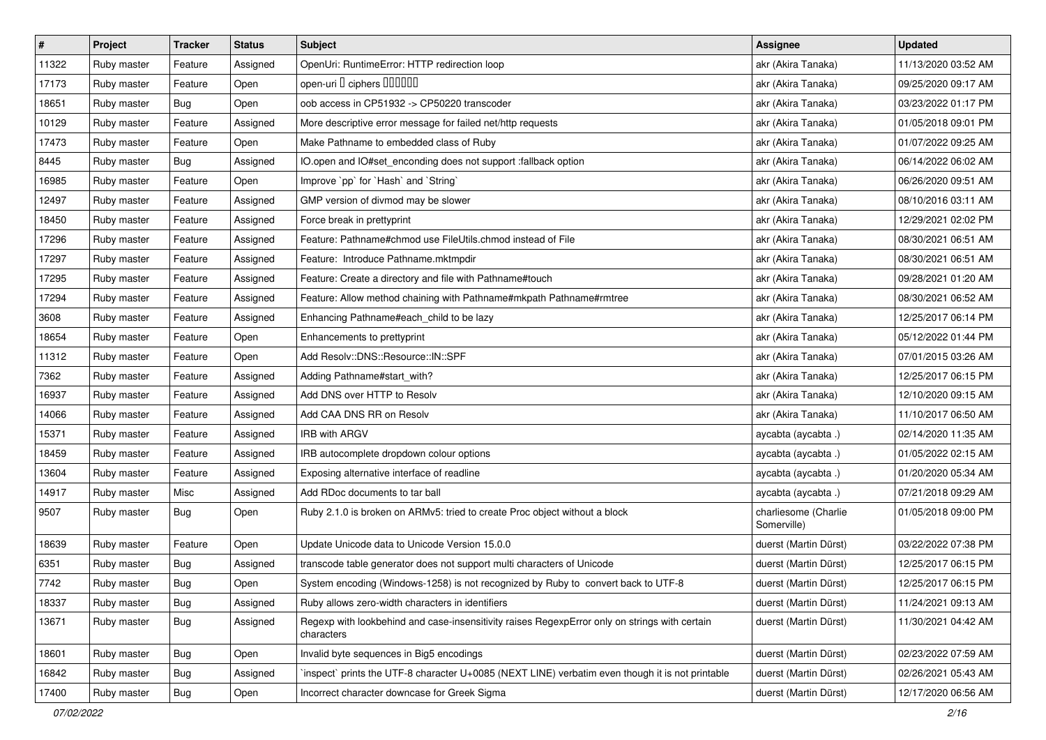| $\pmb{\#}$ | Project     | <b>Tracker</b> | <b>Status</b> | <b>Subject</b>                                                                                              | <b>Assignee</b>                     | <b>Updated</b>      |
|------------|-------------|----------------|---------------|-------------------------------------------------------------------------------------------------------------|-------------------------------------|---------------------|
| 11322      | Ruby master | Feature        | Assigned      | OpenUri: RuntimeError: HTTP redirection loop                                                                | akr (Akira Tanaka)                  | 11/13/2020 03:52 AM |
| 17173      | Ruby master | Feature        | Open          | open-uri I ciphers IIIIIII                                                                                  | akr (Akira Tanaka)                  | 09/25/2020 09:17 AM |
| 18651      | Ruby master | Bug            | Open          | oob access in CP51932 -> CP50220 transcoder                                                                 | akr (Akira Tanaka)                  | 03/23/2022 01:17 PM |
| 10129      | Ruby master | Feature        | Assigned      | More descriptive error message for failed net/http requests                                                 | akr (Akira Tanaka)                  | 01/05/2018 09:01 PM |
| 17473      | Ruby master | Feature        | Open          | Make Pathname to embedded class of Ruby                                                                     | akr (Akira Tanaka)                  | 01/07/2022 09:25 AM |
| 8445       | Ruby master | Bug            | Assigned      | IO.open and IO#set_enconding does not support :fallback option                                              | akr (Akira Tanaka)                  | 06/14/2022 06:02 AM |
| 16985      | Ruby master | Feature        | Open          | Improve `pp` for `Hash` and `String`                                                                        | akr (Akira Tanaka)                  | 06/26/2020 09:51 AM |
| 12497      | Ruby master | Feature        | Assigned      | GMP version of divmod may be slower                                                                         | akr (Akira Tanaka)                  | 08/10/2016 03:11 AM |
| 18450      | Ruby master | Feature        | Assigned      | Force break in prettyprint                                                                                  | akr (Akira Tanaka)                  | 12/29/2021 02:02 PM |
| 17296      | Ruby master | Feature        | Assigned      | Feature: Pathname#chmod use FileUtils.chmod instead of File                                                 | akr (Akira Tanaka)                  | 08/30/2021 06:51 AM |
| 17297      | Ruby master | Feature        | Assigned      | Feature: Introduce Pathname.mktmpdir                                                                        | akr (Akira Tanaka)                  | 08/30/2021 06:51 AM |
| 17295      | Ruby master | Feature        | Assigned      | Feature: Create a directory and file with Pathname#touch                                                    | akr (Akira Tanaka)                  | 09/28/2021 01:20 AM |
| 17294      | Ruby master | Feature        | Assigned      | Feature: Allow method chaining with Pathname#mkpath Pathname#rmtree                                         | akr (Akira Tanaka)                  | 08/30/2021 06:52 AM |
| 3608       | Ruby master | Feature        | Assigned      | Enhancing Pathname#each_child to be lazy                                                                    | akr (Akira Tanaka)                  | 12/25/2017 06:14 PM |
| 18654      | Ruby master | Feature        | Open          | Enhancements to prettyprint                                                                                 | akr (Akira Tanaka)                  | 05/12/2022 01:44 PM |
| 11312      | Ruby master | Feature        | Open          | Add Resolv::DNS::Resource::IN::SPF                                                                          | akr (Akira Tanaka)                  | 07/01/2015 03:26 AM |
| 7362       | Ruby master | Feature        | Assigned      | Adding Pathname#start_with?                                                                                 | akr (Akira Tanaka)                  | 12/25/2017 06:15 PM |
| 16937      | Ruby master | Feature        | Assigned      | Add DNS over HTTP to Resolv                                                                                 | akr (Akira Tanaka)                  | 12/10/2020 09:15 AM |
| 14066      | Ruby master | Feature        | Assigned      | Add CAA DNS RR on Resolv                                                                                    | akr (Akira Tanaka)                  | 11/10/2017 06:50 AM |
| 15371      | Ruby master | Feature        | Assigned      | <b>IRB with ARGV</b>                                                                                        | aycabta (aycabta.)                  | 02/14/2020 11:35 AM |
| 18459      | Ruby master | Feature        | Assigned      | IRB autocomplete dropdown colour options                                                                    | aycabta (aycabta .)                 | 01/05/2022 02:15 AM |
| 13604      | Ruby master | Feature        | Assigned      | Exposing alternative interface of readline                                                                  | aycabta (aycabta.)                  | 01/20/2020 05:34 AM |
| 14917      | Ruby master | Misc           | Assigned      | Add RDoc documents to tar ball                                                                              | aycabta (aycabta.)                  | 07/21/2018 09:29 AM |
| 9507       | Ruby master | Bug            | Open          | Ruby 2.1.0 is broken on ARMv5: tried to create Proc object without a block                                  | charliesome (Charlie<br>Somerville) | 01/05/2018 09:00 PM |
| 18639      | Ruby master | Feature        | Open          | Update Unicode data to Unicode Version 15.0.0                                                               | duerst (Martin Dürst)               | 03/22/2022 07:38 PM |
| 6351       | Ruby master | <b>Bug</b>     | Assigned      | transcode table generator does not support multi characters of Unicode                                      | duerst (Martin Dürst)               | 12/25/2017 06:15 PM |
| 7742       | Ruby master | <b>Bug</b>     | Open          | System encoding (Windows-1258) is not recognized by Ruby to convert back to UTF-8                           | duerst (Martin Dürst)               | 12/25/2017 06:15 PM |
| 18337      | Ruby master | <b>Bug</b>     | Assigned      | Ruby allows zero-width characters in identifiers                                                            | duerst (Martin Dürst)               | 11/24/2021 09:13 AM |
| 13671      | Ruby master | <b>Bug</b>     | Assigned      | Regexp with lookbehind and case-insensitivity raises RegexpError only on strings with certain<br>characters | duerst (Martin Dürst)               | 11/30/2021 04:42 AM |
| 18601      | Ruby master | Bug            | Open          | Invalid byte sequences in Big5 encodings                                                                    | duerst (Martin Dürst)               | 02/23/2022 07:59 AM |
| 16842      | Ruby master | Bug            | Assigned      | inspect` prints the UTF-8 character U+0085 (NEXT LINE) verbatim even though it is not printable             | duerst (Martin Dürst)               | 02/26/2021 05:43 AM |
| 17400      | Ruby master | Bug            | Open          | Incorrect character downcase for Greek Sigma                                                                | duerst (Martin Dürst)               | 12/17/2020 06:56 AM |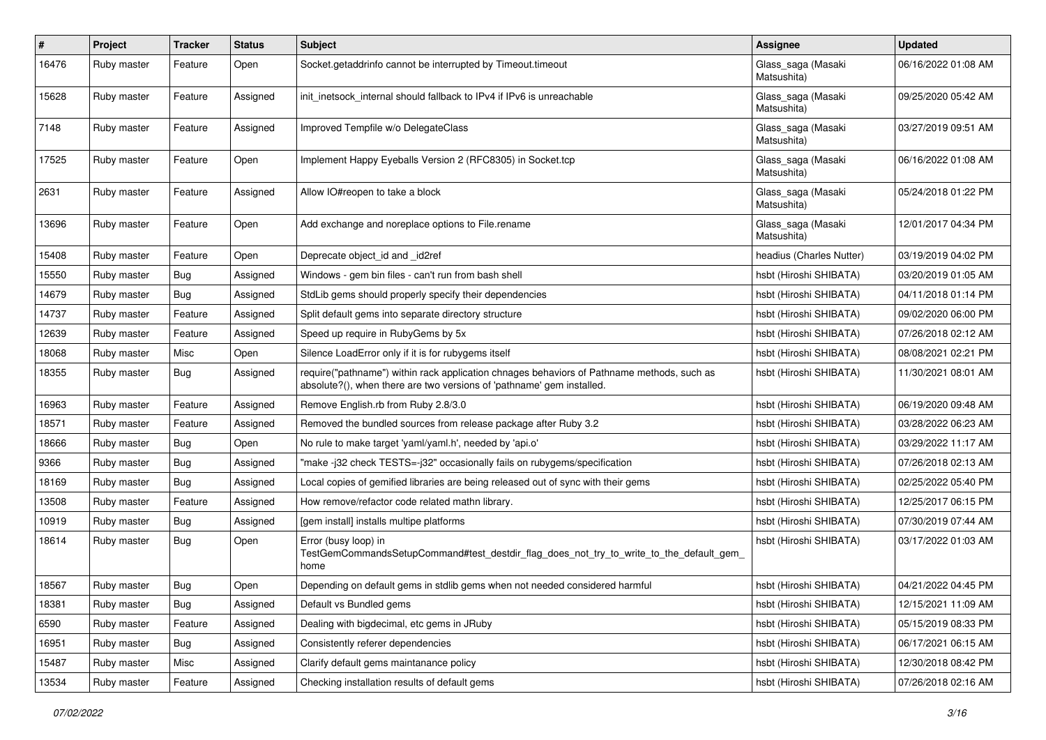| $\pmb{\#}$ | Project     | <b>Tracker</b> | <b>Status</b> | <b>Subject</b>                                                                                                                                                      | <b>Assignee</b>                   | <b>Updated</b>      |
|------------|-------------|----------------|---------------|---------------------------------------------------------------------------------------------------------------------------------------------------------------------|-----------------------------------|---------------------|
| 16476      | Ruby master | Feature        | Open          | Socket.getaddrinfo cannot be interrupted by Timeout.timeout                                                                                                         | Glass_saga (Masaki<br>Matsushita) | 06/16/2022 01:08 AM |
| 15628      | Ruby master | Feature        | Assigned      | init inetsock internal should fallback to IPv4 if IPv6 is unreachable                                                                                               | Glass_saga (Masaki<br>Matsushita) | 09/25/2020 05:42 AM |
| 7148       | Ruby master | Feature        | Assigned      | Improved Tempfile w/o DelegateClass                                                                                                                                 | Glass_saga (Masaki<br>Matsushita) | 03/27/2019 09:51 AM |
| 17525      | Ruby master | Feature        | Open          | Implement Happy Eyeballs Version 2 (RFC8305) in Socket.tcp                                                                                                          | Glass_saga (Masaki<br>Matsushita) | 06/16/2022 01:08 AM |
| 2631       | Ruby master | Feature        | Assigned      | Allow IO#reopen to take a block                                                                                                                                     | Glass_saga (Masaki<br>Matsushita) | 05/24/2018 01:22 PM |
| 13696      | Ruby master | Feature        | Open          | Add exchange and noreplace options to File.rename                                                                                                                   | Glass_saga (Masaki<br>Matsushita) | 12/01/2017 04:34 PM |
| 15408      | Ruby master | Feature        | Open          | Deprecate object_id and _id2ref                                                                                                                                     | headius (Charles Nutter)          | 03/19/2019 04:02 PM |
| 15550      | Ruby master | Bug            | Assigned      | Windows - gem bin files - can't run from bash shell                                                                                                                 | hsbt (Hiroshi SHIBATA)            | 03/20/2019 01:05 AM |
| 14679      | Ruby master | <b>Bug</b>     | Assigned      | StdLib gems should properly specify their dependencies                                                                                                              | hsbt (Hiroshi SHIBATA)            | 04/11/2018 01:14 PM |
| 14737      | Ruby master | Feature        | Assigned      | Split default gems into separate directory structure                                                                                                                | hsbt (Hiroshi SHIBATA)            | 09/02/2020 06:00 PM |
| 12639      | Ruby master | Feature        | Assigned      | Speed up require in RubyGems by 5x                                                                                                                                  | hsbt (Hiroshi SHIBATA)            | 07/26/2018 02:12 AM |
| 18068      | Ruby master | Misc           | Open          | Silence LoadError only if it is for rubygems itself                                                                                                                 | hsbt (Hiroshi SHIBATA)            | 08/08/2021 02:21 PM |
| 18355      | Ruby master | <b>Bug</b>     | Assigned      | require("pathname") within rack application chnages behaviors of Pathname methods, such as<br>absolute?(), when there are two versions of 'pathname' gem installed. | hsbt (Hiroshi SHIBATA)            | 11/30/2021 08:01 AM |
| 16963      | Ruby master | Feature        | Assigned      | Remove English.rb from Ruby 2.8/3.0                                                                                                                                 | hsbt (Hiroshi SHIBATA)            | 06/19/2020 09:48 AM |
| 18571      | Ruby master | Feature        | Assigned      | Removed the bundled sources from release package after Ruby 3.2                                                                                                     | hsbt (Hiroshi SHIBATA)            | 03/28/2022 06:23 AM |
| 18666      | Ruby master | Bug            | Open          | No rule to make target 'yaml/yaml.h', needed by 'api.o'                                                                                                             | hsbt (Hiroshi SHIBATA)            | 03/29/2022 11:17 AM |
| 9366       | Ruby master | <b>Bug</b>     | Assigned      | 'make -j32 check TESTS=-j32" occasionally fails on rubygems/specification                                                                                           | hsbt (Hiroshi SHIBATA)            | 07/26/2018 02:13 AM |
| 18169      | Ruby master | Bug            | Assigned      | Local copies of gemified libraries are being released out of sync with their gems                                                                                   | hsbt (Hiroshi SHIBATA)            | 02/25/2022 05:40 PM |
| 13508      | Ruby master | Feature        | Assigned      | How remove/refactor code related mathn library.                                                                                                                     | hsbt (Hiroshi SHIBATA)            | 12/25/2017 06:15 PM |
| 10919      | Ruby master | <b>Bug</b>     | Assigned      | [gem install] installs multipe platforms                                                                                                                            | hsbt (Hiroshi SHIBATA)            | 07/30/2019 07:44 AM |
| 18614      | Ruby master | Bug            | Open          | Error (busy loop) in<br>TestGemCommandsSetupCommand#test_destdir_flag_does_not_try_to_write_to_the_default_gem_<br>home                                             | hsbt (Hiroshi SHIBATA)            | 03/17/2022 01:03 AM |
| 18567      | Ruby master | Bug            | Open          | Depending on default gems in stdlib gems when not needed considered harmful                                                                                         | hsbt (Hiroshi SHIBATA)            | 04/21/2022 04:45 PM |
| 18381      | Ruby master | <b>Bug</b>     | Assigned      | Default vs Bundled gems                                                                                                                                             | hsbt (Hiroshi SHIBATA)            | 12/15/2021 11:09 AM |
| 6590       | Ruby master | Feature        | Assigned      | Dealing with bigdecimal, etc gems in JRuby                                                                                                                          | hsbt (Hiroshi SHIBATA)            | 05/15/2019 08:33 PM |
| 16951      | Ruby master | <b>Bug</b>     | Assigned      | Consistently referer dependencies                                                                                                                                   | hsbt (Hiroshi SHIBATA)            | 06/17/2021 06:15 AM |
| 15487      | Ruby master | Misc           | Assigned      | Clarify default gems maintanance policy                                                                                                                             | hsbt (Hiroshi SHIBATA)            | 12/30/2018 08:42 PM |
| 13534      | Ruby master | Feature        | Assigned      | Checking installation results of default gems                                                                                                                       | hsbt (Hiroshi SHIBATA)            | 07/26/2018 02:16 AM |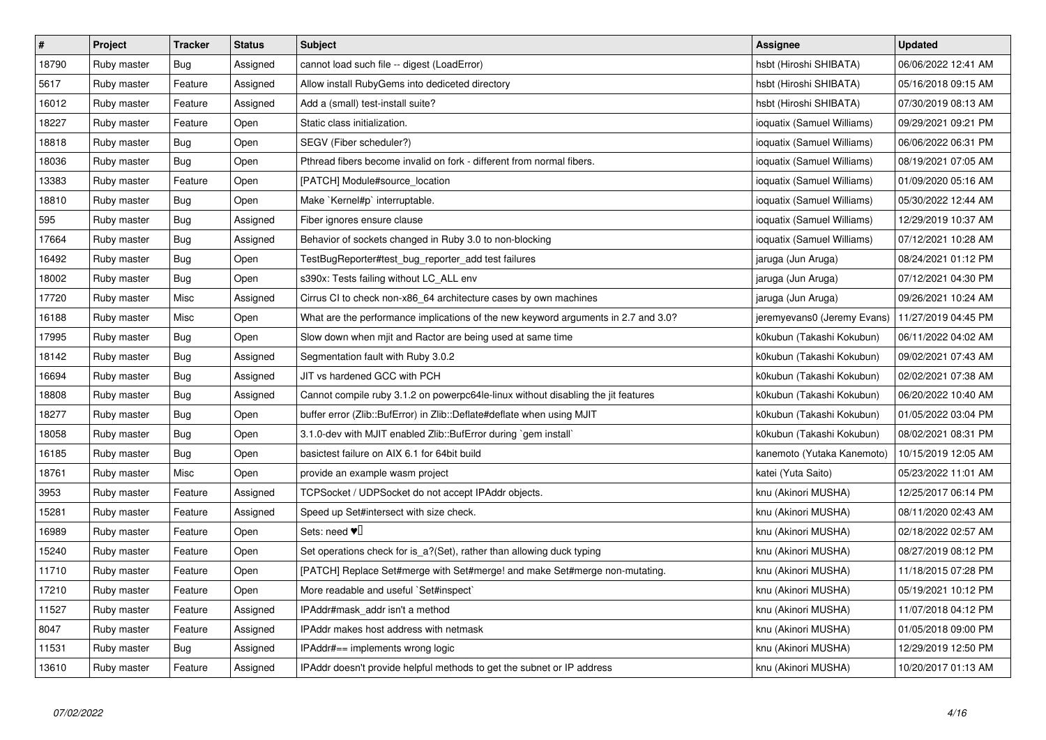| $\pmb{\#}$ | Project     | <b>Tracker</b> | <b>Status</b> | <b>Subject</b>                                                                     | <b>Assignee</b>             | <b>Updated</b>      |
|------------|-------------|----------------|---------------|------------------------------------------------------------------------------------|-----------------------------|---------------------|
| 18790      | Ruby master | <b>Bug</b>     | Assigned      | cannot load such file -- digest (LoadError)                                        | hsbt (Hiroshi SHIBATA)      | 06/06/2022 12:41 AM |
| 5617       | Ruby master | Feature        | Assigned      | Allow install RubyGems into dediceted directory                                    | hsbt (Hiroshi SHIBATA)      | 05/16/2018 09:15 AM |
| 16012      | Ruby master | Feature        | Assigned      | Add a (small) test-install suite?                                                  | hsbt (Hiroshi SHIBATA)      | 07/30/2019 08:13 AM |
| 18227      | Ruby master | Feature        | Open          | Static class initialization.                                                       | ioquatix (Samuel Williams)  | 09/29/2021 09:21 PM |
| 18818      | Ruby master | <b>Bug</b>     | Open          | SEGV (Fiber scheduler?)                                                            | ioquatix (Samuel Williams)  | 06/06/2022 06:31 PM |
| 18036      | Ruby master | Bug            | Open          | Pthread fibers become invalid on fork - different from normal fibers.              | ioquatix (Samuel Williams)  | 08/19/2021 07:05 AM |
| 13383      | Ruby master | Feature        | Open          | [PATCH] Module#source_location                                                     | ioquatix (Samuel Williams)  | 01/09/2020 05:16 AM |
| 18810      | Ruby master | Bug            | Open          | Make `Kernel#p` interruptable.                                                     | ioquatix (Samuel Williams)  | 05/30/2022 12:44 AM |
| 595        | Ruby master | Bug            | Assigned      | Fiber ignores ensure clause                                                        | ioquatix (Samuel Williams)  | 12/29/2019 10:37 AM |
| 17664      | Ruby master | Bug            | Assigned      | Behavior of sockets changed in Ruby 3.0 to non-blocking                            | ioquatix (Samuel Williams)  | 07/12/2021 10:28 AM |
| 16492      | Ruby master | <b>Bug</b>     | Open          | TestBugReporter#test_bug_reporter_add test failures                                | jaruga (Jun Aruga)          | 08/24/2021 01:12 PM |
| 18002      | Ruby master | <b>Bug</b>     | Open          | s390x: Tests failing without LC_ALL env                                            | jaruga (Jun Aruga)          | 07/12/2021 04:30 PM |
| 17720      | Ruby master | Misc           | Assigned      | Cirrus CI to check non-x86 64 architecture cases by own machines                   | jaruga (Jun Aruga)          | 09/26/2021 10:24 AM |
| 16188      | Ruby master | Misc           | Open          | What are the performance implications of the new keyword arguments in 2.7 and 3.0? | jeremyevans0 (Jeremy Evans) | 11/27/2019 04:45 PM |
| 17995      | Ruby master | <b>Bug</b>     | Open          | Slow down when mjit and Ractor are being used at same time                         | k0kubun (Takashi Kokubun)   | 06/11/2022 04:02 AM |
| 18142      | Ruby master | <b>Bug</b>     | Assigned      | Segmentation fault with Ruby 3.0.2                                                 | k0kubun (Takashi Kokubun)   | 09/02/2021 07:43 AM |
| 16694      | Ruby master | Bug            | Assigned      | JIT vs hardened GCC with PCH                                                       | k0kubun (Takashi Kokubun)   | 02/02/2021 07:38 AM |
| 18808      | Ruby master | <b>Bug</b>     | Assigned      | Cannot compile ruby 3.1.2 on powerpc64le-linux without disabling the jit features  | k0kubun (Takashi Kokubun)   | 06/20/2022 10:40 AM |
| 18277      | Ruby master | <b>Bug</b>     | Open          | buffer error (Zlib::BufError) in Zlib::Deflate#deflate when using MJIT             | k0kubun (Takashi Kokubun)   | 01/05/2022 03:04 PM |
| 18058      | Ruby master | <b>Bug</b>     | Open          | 3.1.0-dev with MJIT enabled Zlib::BufError during `gem install`                    | k0kubun (Takashi Kokubun)   | 08/02/2021 08:31 PM |
| 16185      | Ruby master | Bug            | Open          | basictest failure on AIX 6.1 for 64bit build                                       | kanemoto (Yutaka Kanemoto)  | 10/15/2019 12:05 AM |
| 18761      | Ruby master | Misc           | Open          | provide an example wasm project                                                    | katei (Yuta Saito)          | 05/23/2022 11:01 AM |
| 3953       | Ruby master | Feature        | Assigned      | TCPSocket / UDPSocket do not accept IPAddr objects.                                | knu (Akinori MUSHA)         | 12/25/2017 06:14 PM |
| 15281      | Ruby master | Feature        | Assigned      | Speed up Set#intersect with size check.                                            | knu (Akinori MUSHA)         | 08/11/2020 02:43 AM |
| 16989      | Ruby master | Feature        | Open          | Sets: need $\Psi$                                                                  | knu (Akinori MUSHA)         | 02/18/2022 02:57 AM |
| 15240      | Ruby master | Feature        | Open          | Set operations check for is a?(Set), rather than allowing duck typing              | knu (Akinori MUSHA)         | 08/27/2019 08:12 PM |
| 11710      | Ruby master | Feature        | Open          | [PATCH] Replace Set#merge with Set#merge! and make Set#merge non-mutating.         | knu (Akinori MUSHA)         | 11/18/2015 07:28 PM |
| 17210      | Ruby master | Feature        | Open          | More readable and useful `Set#inspect`                                             | knu (Akinori MUSHA)         | 05/19/2021 10:12 PM |
| 11527      | Ruby master | Feature        | Assigned      | IPAddr#mask addr isn't a method                                                    | knu (Akinori MUSHA)         | 11/07/2018 04:12 PM |
| 8047       | Ruby master | Feature        | Assigned      | IPAddr makes host address with netmask                                             | knu (Akinori MUSHA)         | 01/05/2018 09:00 PM |
| 11531      | Ruby master | Bug            | Assigned      | IPAddr#== implements wrong logic                                                   | knu (Akinori MUSHA)         | 12/29/2019 12:50 PM |
| 13610      | Ruby master | Feature        | Assigned      | IPAddr doesn't provide helpful methods to get the subnet or IP address             | knu (Akinori MUSHA)         | 10/20/2017 01:13 AM |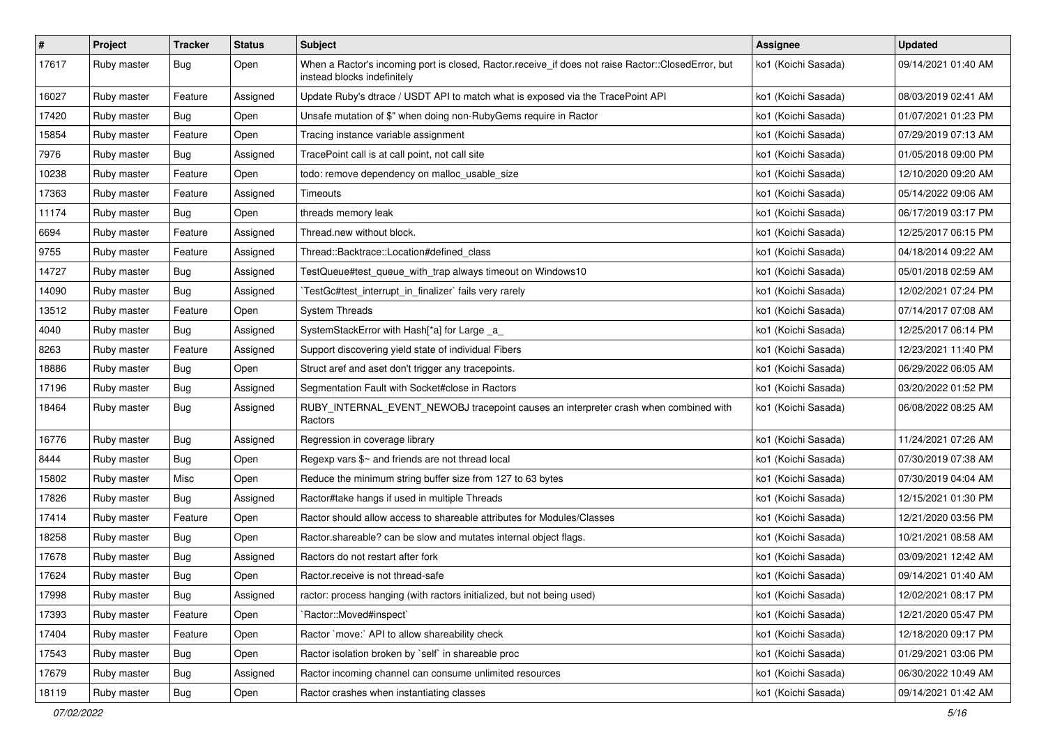| $\sharp$ | Project     | <b>Tracker</b> | <b>Status</b> | Subject                                                                                                                           | <b>Assignee</b>     | <b>Updated</b>      |
|----------|-------------|----------------|---------------|-----------------------------------------------------------------------------------------------------------------------------------|---------------------|---------------------|
| 17617    | Ruby master | Bug            | Open          | When a Ractor's incoming port is closed, Ractor.receive_if does not raise Ractor::ClosedError, but<br>instead blocks indefinitely | ko1 (Koichi Sasada) | 09/14/2021 01:40 AM |
| 16027    | Ruby master | Feature        | Assigned      | Update Ruby's dtrace / USDT API to match what is exposed via the TracePoint API                                                   | ko1 (Koichi Sasada) | 08/03/2019 02:41 AM |
| 17420    | Ruby master | <b>Bug</b>     | Open          | Unsafe mutation of \$" when doing non-RubyGems require in Ractor                                                                  | ko1 (Koichi Sasada) | 01/07/2021 01:23 PM |
| 15854    | Ruby master | Feature        | Open          | Tracing instance variable assignment                                                                                              | ko1 (Koichi Sasada) | 07/29/2019 07:13 AM |
| 7976     | Ruby master | Bug            | Assigned      | TracePoint call is at call point, not call site                                                                                   | ko1 (Koichi Sasada) | 01/05/2018 09:00 PM |
| 10238    | Ruby master | Feature        | Open          | todo: remove dependency on malloc_usable_size                                                                                     | ko1 (Koichi Sasada) | 12/10/2020 09:20 AM |
| 17363    | Ruby master | Feature        | Assigned      | Timeouts                                                                                                                          | ko1 (Koichi Sasada) | 05/14/2022 09:06 AM |
| 11174    | Ruby master | Bug            | Open          | threads memory leak                                                                                                               | ko1 (Koichi Sasada) | 06/17/2019 03:17 PM |
| 6694     | Ruby master | Feature        | Assigned      | Thread.new without block.                                                                                                         | ko1 (Koichi Sasada) | 12/25/2017 06:15 PM |
| 9755     | Ruby master | Feature        | Assigned      | Thread::Backtrace::Location#defined class                                                                                         | ko1 (Koichi Sasada) | 04/18/2014 09:22 AM |
| 14727    | Ruby master | <b>Bug</b>     | Assigned      | TestQueue#test_queue_with_trap always timeout on Windows10                                                                        | ko1 (Koichi Sasada) | 05/01/2018 02:59 AM |
| 14090    | Ruby master | <b>Bug</b>     | Assigned      | TestGc#test_interrupt_in_finalizer` fails very rarely                                                                             | ko1 (Koichi Sasada) | 12/02/2021 07:24 PM |
| 13512    | Ruby master | Feature        | Open          | <b>System Threads</b>                                                                                                             | ko1 (Koichi Sasada) | 07/14/2017 07:08 AM |
| 4040     | Ruby master | Bug            | Assigned      | SystemStackError with Hash[*a] for Large _a_                                                                                      | ko1 (Koichi Sasada) | 12/25/2017 06:14 PM |
| 8263     | Ruby master | Feature        | Assigned      | Support discovering yield state of individual Fibers                                                                              | ko1 (Koichi Sasada) | 12/23/2021 11:40 PM |
| 18886    | Ruby master | Bug            | Open          | Struct aref and aset don't trigger any tracepoints.                                                                               | ko1 (Koichi Sasada) | 06/29/2022 06:05 AM |
| 17196    | Ruby master | Bug            | Assigned      | Segmentation Fault with Socket#close in Ractors                                                                                   | ko1 (Koichi Sasada) | 03/20/2022 01:52 PM |
| 18464    | Ruby master | Bug            | Assigned      | RUBY_INTERNAL_EVENT_NEWOBJ tracepoint causes an interpreter crash when combined with<br>Ractors                                   | ko1 (Koichi Sasada) | 06/08/2022 08:25 AM |
| 16776    | Ruby master | <b>Bug</b>     | Assigned      | Regression in coverage library                                                                                                    | ko1 (Koichi Sasada) | 11/24/2021 07:26 AM |
| 8444     | Ruby master | <b>Bug</b>     | Open          | Regexp vars \$~ and friends are not thread local                                                                                  | ko1 (Koichi Sasada) | 07/30/2019 07:38 AM |
| 15802    | Ruby master | Misc           | Open          | Reduce the minimum string buffer size from 127 to 63 bytes                                                                        | ko1 (Koichi Sasada) | 07/30/2019 04:04 AM |
| 17826    | Ruby master | Bug            | Assigned      | Ractor#take hangs if used in multiple Threads                                                                                     | ko1 (Koichi Sasada) | 12/15/2021 01:30 PM |
| 17414    | Ruby master | Feature        | Open          | Ractor should allow access to shareable attributes for Modules/Classes                                                            | ko1 (Koichi Sasada) | 12/21/2020 03:56 PM |
| 18258    | Ruby master | <b>Bug</b>     | Open          | Ractor shareable? can be slow and mutates internal object flags.                                                                  | ko1 (Koichi Sasada) | 10/21/2021 08:58 AM |
| 17678    | Ruby master | <b>Bug</b>     | Assigned      | Ractors do not restart after fork                                                                                                 | ko1 (Koichi Sasada) | 03/09/2021 12:42 AM |
| 17624    | Ruby master | <b>Bug</b>     | Open          | Ractor.receive is not thread-safe                                                                                                 | ko1 (Koichi Sasada) | 09/14/2021 01:40 AM |
| 17998    | Ruby master | Bug            | Assigned      | ractor: process hanging (with ractors initialized, but not being used)                                                            | ko1 (Koichi Sasada) | 12/02/2021 08:17 PM |
| 17393    | Ruby master | Feature        | Open          | 'Ractor::Moved#inspect'                                                                                                           | ko1 (Koichi Sasada) | 12/21/2020 05:47 PM |
| 17404    | Ruby master | Feature        | Open          | Ractor `move:` API to allow shareability check                                                                                    | ko1 (Koichi Sasada) | 12/18/2020 09:17 PM |
| 17543    | Ruby master | Bug            | Open          | Ractor isolation broken by `self` in shareable proc                                                                               | ko1 (Koichi Sasada) | 01/29/2021 03:06 PM |
| 17679    | Ruby master | Bug            | Assigned      | Ractor incoming channel can consume unlimited resources                                                                           | ko1 (Koichi Sasada) | 06/30/2022 10:49 AM |
| 18119    | Ruby master | Bug            | Open          | Ractor crashes when instantiating classes                                                                                         | ko1 (Koichi Sasada) | 09/14/2021 01:42 AM |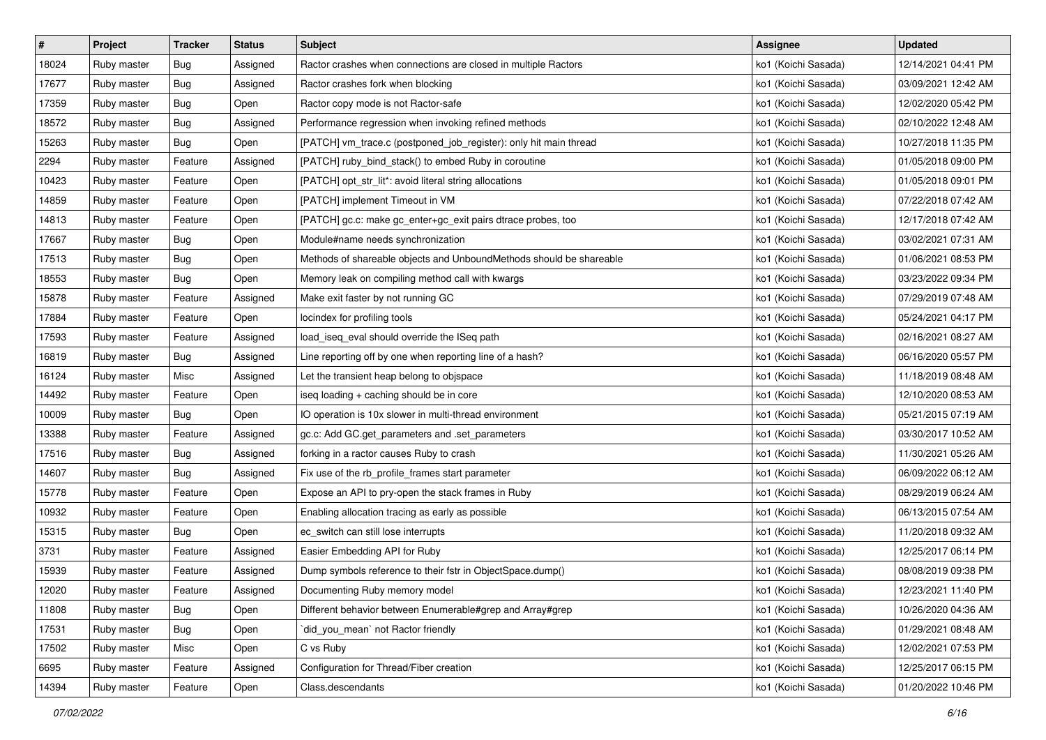| $\sharp$ | Project     | <b>Tracker</b> | <b>Status</b> | Subject                                                             | <b>Assignee</b>     | <b>Updated</b>      |
|----------|-------------|----------------|---------------|---------------------------------------------------------------------|---------------------|---------------------|
| 18024    | Ruby master | <b>Bug</b>     | Assigned      | Ractor crashes when connections are closed in multiple Ractors      | ko1 (Koichi Sasada) | 12/14/2021 04:41 PM |
| 17677    | Ruby master | Bug            | Assigned      | Ractor crashes fork when blocking                                   | ko1 (Koichi Sasada) | 03/09/2021 12:42 AM |
| 17359    | Ruby master | <b>Bug</b>     | Open          | Ractor copy mode is not Ractor-safe                                 | ko1 (Koichi Sasada) | 12/02/2020 05:42 PM |
| 18572    | Ruby master | <b>Bug</b>     | Assigned      | Performance regression when invoking refined methods                | ko1 (Koichi Sasada) | 02/10/2022 12:48 AM |
| 15263    | Ruby master | Bug            | Open          | [PATCH] vm_trace.c (postponed_job_register): only hit main thread   | ko1 (Koichi Sasada) | 10/27/2018 11:35 PM |
| 2294     | Ruby master | Feature        | Assigned      | [PATCH] ruby_bind_stack() to embed Ruby in coroutine                | ko1 (Koichi Sasada) | 01/05/2018 09:00 PM |
| 10423    | Ruby master | Feature        | Open          | [PATCH] opt_str_lit*: avoid literal string allocations              | ko1 (Koichi Sasada) | 01/05/2018 09:01 PM |
| 14859    | Ruby master | Feature        | Open          | [PATCH] implement Timeout in VM                                     | ko1 (Koichi Sasada) | 07/22/2018 07:42 AM |
| 14813    | Ruby master | Feature        | Open          | [PATCH] gc.c: make gc_enter+gc_exit pairs dtrace probes, too        | ko1 (Koichi Sasada) | 12/17/2018 07:42 AM |
| 17667    | Ruby master | <b>Bug</b>     | Open          | Module#name needs synchronization                                   | ko1 (Koichi Sasada) | 03/02/2021 07:31 AM |
| 17513    | Ruby master | <b>Bug</b>     | Open          | Methods of shareable objects and UnboundMethods should be shareable | ko1 (Koichi Sasada) | 01/06/2021 08:53 PM |
| 18553    | Ruby master | <b>Bug</b>     | Open          | Memory leak on compiling method call with kwargs                    | ko1 (Koichi Sasada) | 03/23/2022 09:34 PM |
| 15878    | Ruby master | Feature        | Assigned      | Make exit faster by not running GC                                  | ko1 (Koichi Sasada) | 07/29/2019 07:48 AM |
| 17884    | Ruby master | Feature        | Open          | locindex for profiling tools                                        | ko1 (Koichi Sasada) | 05/24/2021 04:17 PM |
| 17593    | Ruby master | Feature        | Assigned      | load_iseq_eval should override the ISeq path                        | ko1 (Koichi Sasada) | 02/16/2021 08:27 AM |
| 16819    | Ruby master | <b>Bug</b>     | Assigned      | Line reporting off by one when reporting line of a hash?            | ko1 (Koichi Sasada) | 06/16/2020 05:57 PM |
| 16124    | Ruby master | Misc           | Assigned      | Let the transient heap belong to objspace                           | ko1 (Koichi Sasada) | 11/18/2019 08:48 AM |
| 14492    | Ruby master | Feature        | Open          | iseq loading + caching should be in core                            | ko1 (Koichi Sasada) | 12/10/2020 08:53 AM |
| 10009    | Ruby master | <b>Bug</b>     | Open          | IO operation is 10x slower in multi-thread environment              | ko1 (Koichi Sasada) | 05/21/2015 07:19 AM |
| 13388    | Ruby master | Feature        | Assigned      | gc.c: Add GC.get_parameters and .set_parameters                     | ko1 (Koichi Sasada) | 03/30/2017 10:52 AM |
| 17516    | Ruby master | <b>Bug</b>     | Assigned      | forking in a ractor causes Ruby to crash                            | ko1 (Koichi Sasada) | 11/30/2021 05:26 AM |
| 14607    | Ruby master | <b>Bug</b>     | Assigned      | Fix use of the rb_profile_frames start parameter                    | ko1 (Koichi Sasada) | 06/09/2022 06:12 AM |
| 15778    | Ruby master | Feature        | Open          | Expose an API to pry-open the stack frames in Ruby                  | ko1 (Koichi Sasada) | 08/29/2019 06:24 AM |
| 10932    | Ruby master | Feature        | Open          | Enabling allocation tracing as early as possible                    | ko1 (Koichi Sasada) | 06/13/2015 07:54 AM |
| 15315    | Ruby master | <b>Bug</b>     | Open          | ec_switch can still lose interrupts                                 | ko1 (Koichi Sasada) | 11/20/2018 09:32 AM |
| 3731     | Ruby master | Feature        | Assigned      | Easier Embedding API for Ruby                                       | ko1 (Koichi Sasada) | 12/25/2017 06:14 PM |
| 15939    | Ruby master | Feature        | Assigned      | Dump symbols reference to their fstr in ObjectSpace.dump()          | ko1 (Koichi Sasada) | 08/08/2019 09:38 PM |
| 12020    | Ruby master | Feature        | Assigned      | Documenting Ruby memory model                                       | ko1 (Koichi Sasada) | 12/23/2021 11:40 PM |
| 11808    | Ruby master | Bug            | Open          | Different behavior between Enumerable#grep and Array#grep           | ko1 (Koichi Sasada) | 10/26/2020 04:36 AM |
| 17531    | Ruby master | Bug            | Open          | did_you_mean` not Ractor friendly                                   | ko1 (Koichi Sasada) | 01/29/2021 08:48 AM |
| 17502    | Ruby master | Misc           | Open          | C vs Ruby                                                           | ko1 (Koichi Sasada) | 12/02/2021 07:53 PM |
| 6695     | Ruby master | Feature        | Assigned      | Configuration for Thread/Fiber creation                             | ko1 (Koichi Sasada) | 12/25/2017 06:15 PM |
| 14394    | Ruby master | Feature        | Open          | Class.descendants                                                   | ko1 (Koichi Sasada) | 01/20/2022 10:46 PM |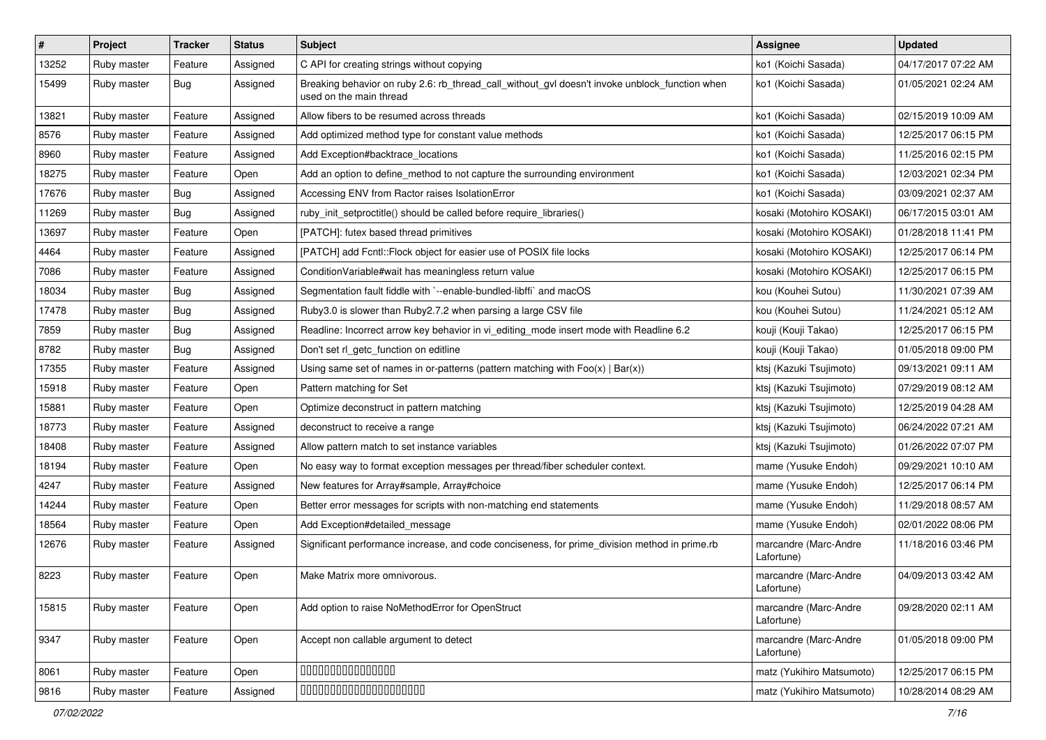| #     | Project     | <b>Tracker</b> | <b>Status</b> | Subject                                                                                                                   | <b>Assignee</b>                     | <b>Updated</b>      |
|-------|-------------|----------------|---------------|---------------------------------------------------------------------------------------------------------------------------|-------------------------------------|---------------------|
| 13252 | Ruby master | Feature        | Assigned      | C API for creating strings without copying                                                                                | ko1 (Koichi Sasada)                 | 04/17/2017 07:22 AM |
| 15499 | Ruby master | <b>Bug</b>     | Assigned      | Breaking behavior on ruby 2.6: rb_thread_call_without_gvl doesn't invoke unblock_function when<br>used on the main thread | ko1 (Koichi Sasada)                 | 01/05/2021 02:24 AM |
| 13821 | Ruby master | Feature        | Assigned      | Allow fibers to be resumed across threads                                                                                 | ko1 (Koichi Sasada)                 | 02/15/2019 10:09 AM |
| 8576  | Ruby master | Feature        | Assigned      | Add optimized method type for constant value methods                                                                      | ko1 (Koichi Sasada)                 | 12/25/2017 06:15 PM |
| 8960  | Ruby master | Feature        | Assigned      | Add Exception#backtrace locations                                                                                         | ko1 (Koichi Sasada)                 | 11/25/2016 02:15 PM |
| 18275 | Ruby master | Feature        | Open          | Add an option to define_method to not capture the surrounding environment                                                 | ko1 (Koichi Sasada)                 | 12/03/2021 02:34 PM |
| 17676 | Ruby master | Bug            | Assigned      | Accessing ENV from Ractor raises IsolationError                                                                           | ko1 (Koichi Sasada)                 | 03/09/2021 02:37 AM |
| 11269 | Ruby master | <b>Bug</b>     | Assigned      | ruby init setproctitle() should be called before require libraries()                                                      | kosaki (Motohiro KOSAKI)            | 06/17/2015 03:01 AM |
| 13697 | Ruby master | Feature        | Open          | [PATCH]: futex based thread primitives                                                                                    | kosaki (Motohiro KOSAKI)            | 01/28/2018 11:41 PM |
| 4464  | Ruby master | Feature        | Assigned      | [PATCH] add Fcntl:: Flock object for easier use of POSIX file locks                                                       | kosaki (Motohiro KOSAKI)            | 12/25/2017 06:14 PM |
| 7086  | Ruby master | Feature        | Assigned      | Condition Variable#wait has meaningless return value                                                                      | kosaki (Motohiro KOSAKI)            | 12/25/2017 06:15 PM |
| 18034 | Ruby master | <b>Bug</b>     | Assigned      | Segmentation fault fiddle with `--enable-bundled-libffi` and macOS                                                        | kou (Kouhei Sutou)                  | 11/30/2021 07:39 AM |
| 17478 | Ruby master | <b>Bug</b>     | Assigned      | Ruby3.0 is slower than Ruby2.7.2 when parsing a large CSV file                                                            | kou (Kouhei Sutou)                  | 11/24/2021 05:12 AM |
| 7859  | Ruby master | <b>Bug</b>     | Assigned      | Readline: Incorrect arrow key behavior in vi_editing_mode insert mode with Readline 6.2                                   | kouji (Kouji Takao)                 | 12/25/2017 06:15 PM |
| 8782  | Ruby master | <b>Bug</b>     | Assigned      | Don't set rl_getc_function on editline                                                                                    | kouji (Kouji Takao)                 | 01/05/2018 09:00 PM |
| 17355 | Ruby master | Feature        | Assigned      | Using same set of names in or-patterns (pattern matching with $Foo(x)   Bar(x)$ )                                         | ktsj (Kazuki Tsujimoto)             | 09/13/2021 09:11 AM |
| 15918 | Ruby master | Feature        | Open          | Pattern matching for Set                                                                                                  | ktsj (Kazuki Tsujimoto)             | 07/29/2019 08:12 AM |
| 15881 | Ruby master | Feature        | Open          | Optimize deconstruct in pattern matching                                                                                  | ktsj (Kazuki Tsujimoto)             | 12/25/2019 04:28 AM |
| 18773 | Ruby master | Feature        | Assigned      | deconstruct to receive a range                                                                                            | ktsj (Kazuki Tsujimoto)             | 06/24/2022 07:21 AM |
| 18408 | Ruby master | Feature        | Assigned      | Allow pattern match to set instance variables                                                                             | ktsj (Kazuki Tsujimoto)             | 01/26/2022 07:07 PM |
| 18194 | Ruby master | Feature        | Open          | No easy way to format exception messages per thread/fiber scheduler context.                                              | mame (Yusuke Endoh)                 | 09/29/2021 10:10 AM |
| 4247  | Ruby master | Feature        | Assigned      | New features for Array#sample, Array#choice                                                                               | mame (Yusuke Endoh)                 | 12/25/2017 06:14 PM |
| 14244 | Ruby master | Feature        | Open          | Better error messages for scripts with non-matching end statements                                                        | mame (Yusuke Endoh)                 | 11/29/2018 08:57 AM |
| 18564 | Ruby master | Feature        | Open          | Add Exception#detailed_message                                                                                            | mame (Yusuke Endoh)                 | 02/01/2022 08:06 PM |
| 12676 | Ruby master | Feature        | Assigned      | Significant performance increase, and code conciseness, for prime_division method in prime.rb                             | marcandre (Marc-Andre<br>Lafortune) | 11/18/2016 03:46 PM |
| 8223  | Ruby master | Feature        | Open          | Make Matrix more omnivorous.                                                                                              | marcandre (Marc-Andre<br>Lafortune) | 04/09/2013 03:42 AM |
| 15815 | Ruby master | Feature        | Open          | Add option to raise NoMethodError for OpenStruct                                                                          | marcandre (Marc-Andre<br>Lafortune) | 09/28/2020 02:11 AM |
| 9347  | Ruby master | Feature        | Open          | Accept non callable argument to detect                                                                                    | marcandre (Marc-Andre<br>Lafortune) | 01/05/2018 09:00 PM |
| 8061  | Ruby master | Feature        | Open          | 00000000000000                                                                                                            | matz (Yukihiro Matsumoto)           | 12/25/2017 06:15 PM |
| 9816  | Ruby master | Feature        | Assigned      | 00000000000000000000                                                                                                      | matz (Yukihiro Matsumoto)           | 10/28/2014 08:29 AM |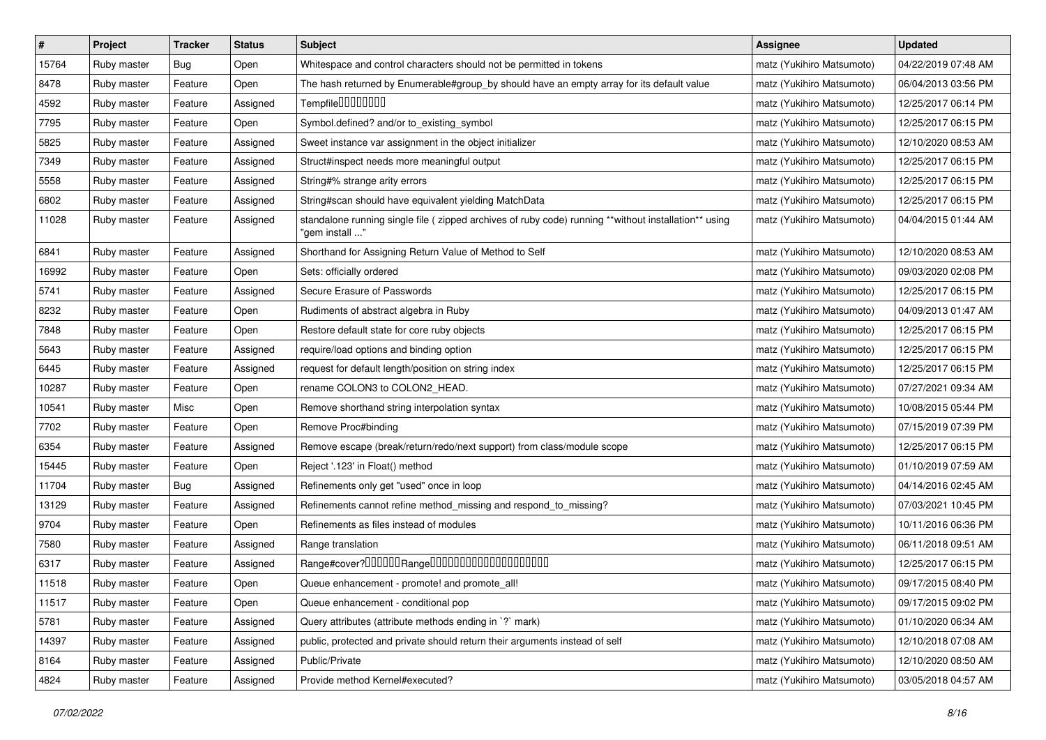| $\pmb{\#}$ | Project     | <b>Tracker</b> | <b>Status</b> | <b>Subject</b>                                                                                                         | <b>Assignee</b>           | <b>Updated</b>      |
|------------|-------------|----------------|---------------|------------------------------------------------------------------------------------------------------------------------|---------------------------|---------------------|
| 15764      | Ruby master | <b>Bug</b>     | Open          | Whitespace and control characters should not be permitted in tokens                                                    | matz (Yukihiro Matsumoto) | 04/22/2019 07:48 AM |
| 8478       | Ruby master | Feature        | Open          | The hash returned by Enumerable#group_by should have an empty array for its default value                              | matz (Yukihiro Matsumoto) | 06/04/2013 03:56 PM |
| 4592       | Ruby master | Feature        | Assigned      | Tempfile0000000                                                                                                        | matz (Yukihiro Matsumoto) | 12/25/2017 06:14 PM |
| 7795       | Ruby master | Feature        | Open          | Symbol.defined? and/or to_existing_symbol                                                                              | matz (Yukihiro Matsumoto) | 12/25/2017 06:15 PM |
| 5825       | Ruby master | Feature        | Assigned      | Sweet instance var assignment in the object initializer                                                                | matz (Yukihiro Matsumoto) | 12/10/2020 08:53 AM |
| 7349       | Ruby master | Feature        | Assigned      | Struct#inspect needs more meaningful output                                                                            | matz (Yukihiro Matsumoto) | 12/25/2017 06:15 PM |
| 5558       | Ruby master | Feature        | Assigned      | String#% strange arity errors                                                                                          | matz (Yukihiro Matsumoto) | 12/25/2017 06:15 PM |
| 6802       | Ruby master | Feature        | Assigned      | String#scan should have equivalent yielding MatchData                                                                  | matz (Yukihiro Matsumoto) | 12/25/2017 06:15 PM |
| 11028      | Ruby master | Feature        | Assigned      | standalone running single file (zipped archives of ruby code) running **without installation** using<br>"gem install " | matz (Yukihiro Matsumoto) | 04/04/2015 01:44 AM |
| 6841       | Ruby master | Feature        | Assigned      | Shorthand for Assigning Return Value of Method to Self                                                                 | matz (Yukihiro Matsumoto) | 12/10/2020 08:53 AM |
| 16992      | Ruby master | Feature        | Open          | Sets: officially ordered                                                                                               | matz (Yukihiro Matsumoto) | 09/03/2020 02:08 PM |
| 5741       | Ruby master | Feature        | Assigned      | Secure Erasure of Passwords                                                                                            | matz (Yukihiro Matsumoto) | 12/25/2017 06:15 PM |
| 8232       | Ruby master | Feature        | Open          | Rudiments of abstract algebra in Ruby                                                                                  | matz (Yukihiro Matsumoto) | 04/09/2013 01:47 AM |
| 7848       | Ruby master | Feature        | Open          | Restore default state for core ruby objects                                                                            | matz (Yukihiro Matsumoto) | 12/25/2017 06:15 PM |
| 5643       | Ruby master | Feature        | Assigned      | require/load options and binding option                                                                                | matz (Yukihiro Matsumoto) | 12/25/2017 06:15 PM |
| 6445       | Ruby master | Feature        | Assigned      | request for default length/position on string index                                                                    | matz (Yukihiro Matsumoto) | 12/25/2017 06:15 PM |
| 10287      | Ruby master | Feature        | Open          | rename COLON3 to COLON2_HEAD.                                                                                          | matz (Yukihiro Matsumoto) | 07/27/2021 09:34 AM |
| 10541      | Ruby master | Misc           | Open          | Remove shorthand string interpolation syntax                                                                           | matz (Yukihiro Matsumoto) | 10/08/2015 05:44 PM |
| 7702       | Ruby master | Feature        | Open          | Remove Proc#binding                                                                                                    | matz (Yukihiro Matsumoto) | 07/15/2019 07:39 PM |
| 6354       | Ruby master | Feature        | Assigned      | Remove escape (break/return/redo/next support) from class/module scope                                                 | matz (Yukihiro Matsumoto) | 12/25/2017 06:15 PM |
| 15445      | Ruby master | Feature        | Open          | Reject '.123' in Float() method                                                                                        | matz (Yukihiro Matsumoto) | 01/10/2019 07:59 AM |
| 11704      | Ruby master | Bug            | Assigned      | Refinements only get "used" once in loop                                                                               | matz (Yukihiro Matsumoto) | 04/14/2016 02:45 AM |
| 13129      | Ruby master | Feature        | Assigned      | Refinements cannot refine method_missing and respond_to_missing?                                                       | matz (Yukihiro Matsumoto) | 07/03/2021 10:45 PM |
| 9704       | Ruby master | Feature        | Open          | Refinements as files instead of modules                                                                                | matz (Yukihiro Matsumoto) | 10/11/2016 06:36 PM |
| 7580       | Ruby master | Feature        | Assigned      | Range translation                                                                                                      | matz (Yukihiro Matsumoto) | 06/11/2018 09:51 AM |
| 6317       | Ruby master | Feature        | Assigned      | Range#cover?000000Range00000000000000000000                                                                            | matz (Yukihiro Matsumoto) | 12/25/2017 06:15 PM |
| 11518      | Ruby master | Feature        | Open          | Queue enhancement - promote! and promote_all!                                                                          | matz (Yukihiro Matsumoto) | 09/17/2015 08:40 PM |
| 11517      | Ruby master | Feature        | Open          | Queue enhancement - conditional pop                                                                                    | matz (Yukihiro Matsumoto) | 09/17/2015 09:02 PM |
| 5781       | Ruby master | Feature        | Assigned      | Query attributes (attribute methods ending in `?` mark)                                                                | matz (Yukihiro Matsumoto) | 01/10/2020 06:34 AM |
| 14397      | Ruby master | Feature        | Assigned      | public, protected and private should return their arguments instead of self                                            | matz (Yukihiro Matsumoto) | 12/10/2018 07:08 AM |
| 8164       | Ruby master | Feature        | Assigned      | Public/Private                                                                                                         | matz (Yukihiro Matsumoto) | 12/10/2020 08:50 AM |
| 4824       | Ruby master | Feature        | Assigned      | Provide method Kernel#executed?                                                                                        | matz (Yukihiro Matsumoto) | 03/05/2018 04:57 AM |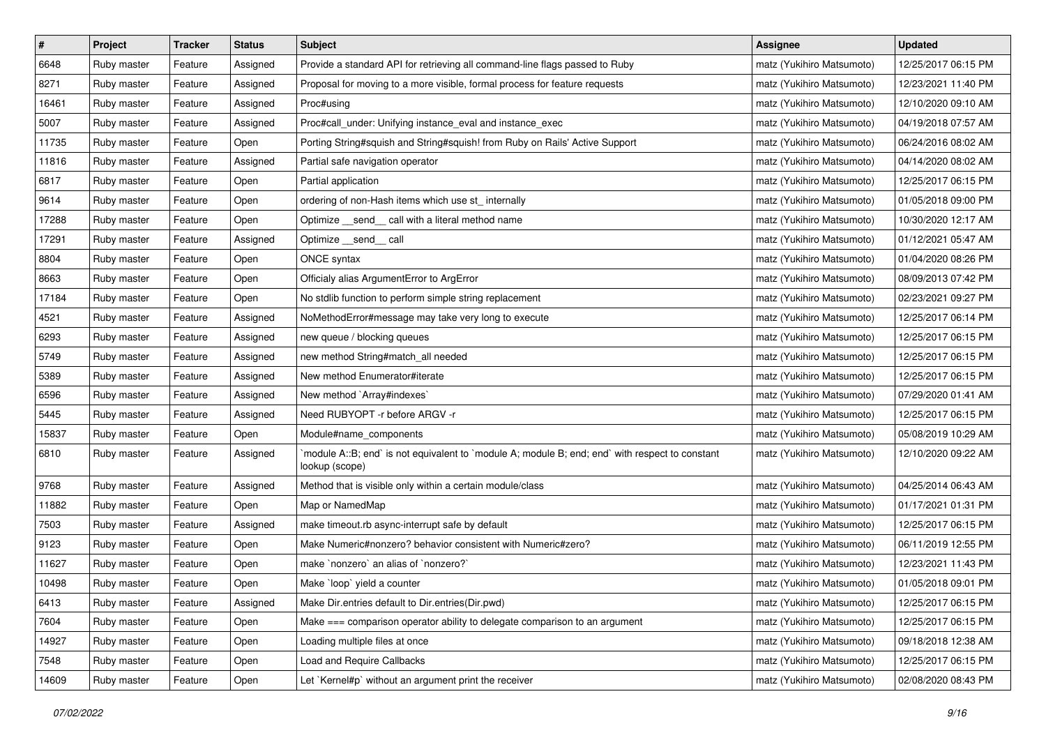| $\pmb{\#}$ | Project     | <b>Tracker</b> | <b>Status</b> | <b>Subject</b>                                                                                                   | <b>Assignee</b>           | <b>Updated</b>      |
|------------|-------------|----------------|---------------|------------------------------------------------------------------------------------------------------------------|---------------------------|---------------------|
| 6648       | Ruby master | Feature        | Assigned      | Provide a standard API for retrieving all command-line flags passed to Ruby                                      | matz (Yukihiro Matsumoto) | 12/25/2017 06:15 PM |
| 8271       | Ruby master | Feature        | Assigned      | Proposal for moving to a more visible, formal process for feature requests                                       | matz (Yukihiro Matsumoto) | 12/23/2021 11:40 PM |
| 16461      | Ruby master | Feature        | Assigned      | Proc#using                                                                                                       | matz (Yukihiro Matsumoto) | 12/10/2020 09:10 AM |
| 5007       | Ruby master | Feature        | Assigned      | Proc#call_under: Unifying instance_eval and instance_exec                                                        | matz (Yukihiro Matsumoto) | 04/19/2018 07:57 AM |
| 11735      | Ruby master | Feature        | Open          | Porting String#squish and String#squish! from Ruby on Rails' Active Support                                      | matz (Yukihiro Matsumoto) | 06/24/2016 08:02 AM |
| 11816      | Ruby master | Feature        | Assigned      | Partial safe navigation operator                                                                                 | matz (Yukihiro Matsumoto) | 04/14/2020 08:02 AM |
| 6817       | Ruby master | Feature        | Open          | Partial application                                                                                              | matz (Yukihiro Matsumoto) | 12/25/2017 06:15 PM |
| 9614       | Ruby master | Feature        | Open          | ordering of non-Hash items which use st internally                                                               | matz (Yukihiro Matsumoto) | 01/05/2018 09:00 PM |
| 17288      | Ruby master | Feature        | Open          | Optimize _send_ call with a literal method name                                                                  | matz (Yukihiro Matsumoto) | 10/30/2020 12:17 AM |
| 17291      | Ruby master | Feature        | Assigned      | Optimize __send__ call                                                                                           | matz (Yukihiro Matsumoto) | 01/12/2021 05:47 AM |
| 8804       | Ruby master | Feature        | Open          | ONCE syntax                                                                                                      | matz (Yukihiro Matsumoto) | 01/04/2020 08:26 PM |
| 8663       | Ruby master | Feature        | Open          | Officialy alias ArgumentError to ArgError                                                                        | matz (Yukihiro Matsumoto) | 08/09/2013 07:42 PM |
| 17184      | Ruby master | Feature        | Open          | No stdlib function to perform simple string replacement                                                          | matz (Yukihiro Matsumoto) | 02/23/2021 09:27 PM |
| 4521       | Ruby master | Feature        | Assigned      | NoMethodError#message may take very long to execute                                                              | matz (Yukihiro Matsumoto) | 12/25/2017 06:14 PM |
| 6293       | Ruby master | Feature        | Assigned      | new queue / blocking queues                                                                                      | matz (Yukihiro Matsumoto) | 12/25/2017 06:15 PM |
| 5749       | Ruby master | Feature        | Assigned      | new method String#match_all needed                                                                               | matz (Yukihiro Matsumoto) | 12/25/2017 06:15 PM |
| 5389       | Ruby master | Feature        | Assigned      | New method Enumerator#iterate                                                                                    | matz (Yukihiro Matsumoto) | 12/25/2017 06:15 PM |
| 6596       | Ruby master | Feature        | Assigned      | New method `Array#indexes`                                                                                       | matz (Yukihiro Matsumoto) | 07/29/2020 01:41 AM |
| 5445       | Ruby master | Feature        | Assigned      | Need RUBYOPT -r before ARGV -r                                                                                   | matz (Yukihiro Matsumoto) | 12/25/2017 06:15 PM |
| 15837      | Ruby master | Feature        | Open          | Module#name_components                                                                                           | matz (Yukihiro Matsumoto) | 05/08/2019 10:29 AM |
| 6810       | Ruby master | Feature        | Assigned      | module A::B; end` is not equivalent to `module A; module B; end; end` with respect to constant<br>lookup (scope) | matz (Yukihiro Matsumoto) | 12/10/2020 09:22 AM |
| 9768       | Ruby master | Feature        | Assigned      | Method that is visible only within a certain module/class                                                        | matz (Yukihiro Matsumoto) | 04/25/2014 06:43 AM |
| 11882      | Ruby master | Feature        | Open          | Map or NamedMap                                                                                                  | matz (Yukihiro Matsumoto) | 01/17/2021 01:31 PM |
| 7503       | Ruby master | Feature        | Assigned      | make timeout.rb async-interrupt safe by default                                                                  | matz (Yukihiro Matsumoto) | 12/25/2017 06:15 PM |
| 9123       | Ruby master | Feature        | Open          | Make Numeric#nonzero? behavior consistent with Numeric#zero?                                                     | matz (Yukihiro Matsumoto) | 06/11/2019 12:55 PM |
| 11627      | Ruby master | Feature        | Open          | make `nonzero` an alias of `nonzero?`                                                                            | matz (Yukihiro Matsumoto) | 12/23/2021 11:43 PM |
| 10498      | Ruby master | Feature        | Open          | Make `loop` yield a counter                                                                                      | matz (Yukihiro Matsumoto) | 01/05/2018 09:01 PM |
| 6413       | Ruby master | Feature        | Assigned      | Make Dir.entries default to Dir.entries(Dir.pwd)                                                                 | matz (Yukihiro Matsumoto) | 12/25/2017 06:15 PM |
| 7604       | Ruby master | Feature        | Open          | Make === comparison operator ability to delegate comparison to an argument                                       | matz (Yukihiro Matsumoto) | 12/25/2017 06:15 PM |
| 14927      | Ruby master | Feature        | Open          | Loading multiple files at once                                                                                   | matz (Yukihiro Matsumoto) | 09/18/2018 12:38 AM |
| 7548       | Ruby master | Feature        | Open          | <b>Load and Require Callbacks</b>                                                                                | matz (Yukihiro Matsumoto) | 12/25/2017 06:15 PM |
| 14609      | Ruby master | Feature        | Open          | Let `Kernel#p` without an argument print the receiver                                                            | matz (Yukihiro Matsumoto) | 02/08/2020 08:43 PM |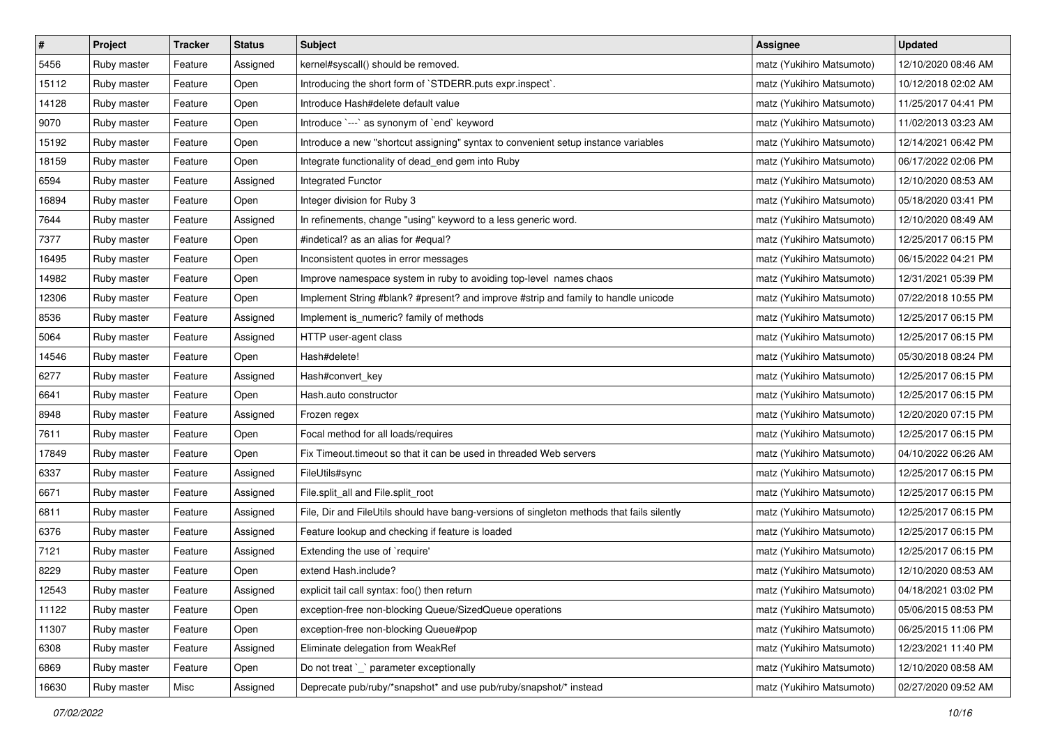| $\pmb{\#}$ | Project     | <b>Tracker</b> | <b>Status</b> | <b>Subject</b>                                                                             | <b>Assignee</b>           | <b>Updated</b>      |
|------------|-------------|----------------|---------------|--------------------------------------------------------------------------------------------|---------------------------|---------------------|
| 5456       | Ruby master | Feature        | Assigned      | kernel#syscall() should be removed.                                                        | matz (Yukihiro Matsumoto) | 12/10/2020 08:46 AM |
| 15112      | Ruby master | Feature        | Open          | Introducing the short form of `STDERR.puts expr.inspect`.                                  | matz (Yukihiro Matsumoto) | 10/12/2018 02:02 AM |
| 14128      | Ruby master | Feature        | Open          | Introduce Hash#delete default value                                                        | matz (Yukihiro Matsumoto) | 11/25/2017 04:41 PM |
| 9070       | Ruby master | Feature        | Open          | Introduce `---` as synonym of `end` keyword                                                | matz (Yukihiro Matsumoto) | 11/02/2013 03:23 AM |
| 15192      | Ruby master | Feature        | Open          | Introduce a new "shortcut assigning" syntax to convenient setup instance variables         | matz (Yukihiro Matsumoto) | 12/14/2021 06:42 PM |
| 18159      | Ruby master | Feature        | Open          | Integrate functionality of dead_end gem into Ruby                                          | matz (Yukihiro Matsumoto) | 06/17/2022 02:06 PM |
| 6594       | Ruby master | Feature        | Assigned      | Integrated Functor                                                                         | matz (Yukihiro Matsumoto) | 12/10/2020 08:53 AM |
| 16894      | Ruby master | Feature        | Open          | Integer division for Ruby 3                                                                | matz (Yukihiro Matsumoto) | 05/18/2020 03:41 PM |
| 7644       | Ruby master | Feature        | Assigned      | In refinements, change "using" keyword to a less generic word.                             | matz (Yukihiro Matsumoto) | 12/10/2020 08:49 AM |
| 7377       | Ruby master | Feature        | Open          | #indetical? as an alias for #equal?                                                        | matz (Yukihiro Matsumoto) | 12/25/2017 06:15 PM |
| 16495      | Ruby master | Feature        | Open          | Inconsistent quotes in error messages                                                      | matz (Yukihiro Matsumoto) | 06/15/2022 04:21 PM |
| 14982      | Ruby master | Feature        | Open          | Improve namespace system in ruby to avoiding top-level names chaos                         | matz (Yukihiro Matsumoto) | 12/31/2021 05:39 PM |
| 12306      | Ruby master | Feature        | Open          | Implement String #blank? #present? and improve #strip and family to handle unicode         | matz (Yukihiro Matsumoto) | 07/22/2018 10:55 PM |
| 8536       | Ruby master | Feature        | Assigned      | Implement is_numeric? family of methods                                                    | matz (Yukihiro Matsumoto) | 12/25/2017 06:15 PM |
| 5064       | Ruby master | Feature        | Assigned      | HTTP user-agent class                                                                      | matz (Yukihiro Matsumoto) | 12/25/2017 06:15 PM |
| 14546      | Ruby master | Feature        | Open          | Hash#delete!                                                                               | matz (Yukihiro Matsumoto) | 05/30/2018 08:24 PM |
| 6277       | Ruby master | Feature        | Assigned      | Hash#convert_key                                                                           | matz (Yukihiro Matsumoto) | 12/25/2017 06:15 PM |
| 6641       | Ruby master | Feature        | Open          | Hash.auto constructor                                                                      | matz (Yukihiro Matsumoto) | 12/25/2017 06:15 PM |
| 8948       | Ruby master | Feature        | Assigned      | Frozen regex                                                                               | matz (Yukihiro Matsumoto) | 12/20/2020 07:15 PM |
| 7611       | Ruby master | Feature        | Open          | Focal method for all loads/requires                                                        | matz (Yukihiro Matsumoto) | 12/25/2017 06:15 PM |
| 17849      | Ruby master | Feature        | Open          | Fix Timeout timeout so that it can be used in threaded Web servers                         | matz (Yukihiro Matsumoto) | 04/10/2022 06:26 AM |
| 6337       | Ruby master | Feature        | Assigned      | FileUtils#sync                                                                             | matz (Yukihiro Matsumoto) | 12/25/2017 06:15 PM |
| 6671       | Ruby master | Feature        | Assigned      | File.split_all and File.split_root                                                         | matz (Yukihiro Matsumoto) | 12/25/2017 06:15 PM |
| 6811       | Ruby master | Feature        | Assigned      | File, Dir and FileUtils should have bang-versions of singleton methods that fails silently | matz (Yukihiro Matsumoto) | 12/25/2017 06:15 PM |
| 6376       | Ruby master | Feature        | Assigned      | Feature lookup and checking if feature is loaded                                           | matz (Yukihiro Matsumoto) | 12/25/2017 06:15 PM |
| 7121       | Ruby master | Feature        | Assigned      | Extending the use of `require'                                                             | matz (Yukihiro Matsumoto) | 12/25/2017 06:15 PM |
| 8229       | Ruby master | Feature        | Open          | extend Hash.include?                                                                       | matz (Yukihiro Matsumoto) | 12/10/2020 08:53 AM |
| 12543      | Ruby master | Feature        | Assigned      | explicit tail call syntax: foo() then return                                               | matz (Yukihiro Matsumoto) | 04/18/2021 03:02 PM |
| 11122      | Ruby master | Feature        | Open          | exception-free non-blocking Queue/SizedQueue operations                                    | matz (Yukihiro Matsumoto) | 05/06/2015 08:53 PM |
| 11307      | Ruby master | Feature        | Open          | exception-free non-blocking Queue#pop                                                      | matz (Yukihiro Matsumoto) | 06/25/2015 11:06 PM |
| 6308       | Ruby master | Feature        | Assigned      | Eliminate delegation from WeakRef                                                          | matz (Yukihiro Matsumoto) | 12/23/2021 11:40 PM |
| 6869       | Ruby master | Feature        | Open          | Do not treat `_` parameter exceptionally                                                   | matz (Yukihiro Matsumoto) | 12/10/2020 08:58 AM |
| 16630      | Ruby master | Misc           | Assigned      | Deprecate pub/ruby/*snapshot* and use pub/ruby/snapshot/* instead                          | matz (Yukihiro Matsumoto) | 02/27/2020 09:52 AM |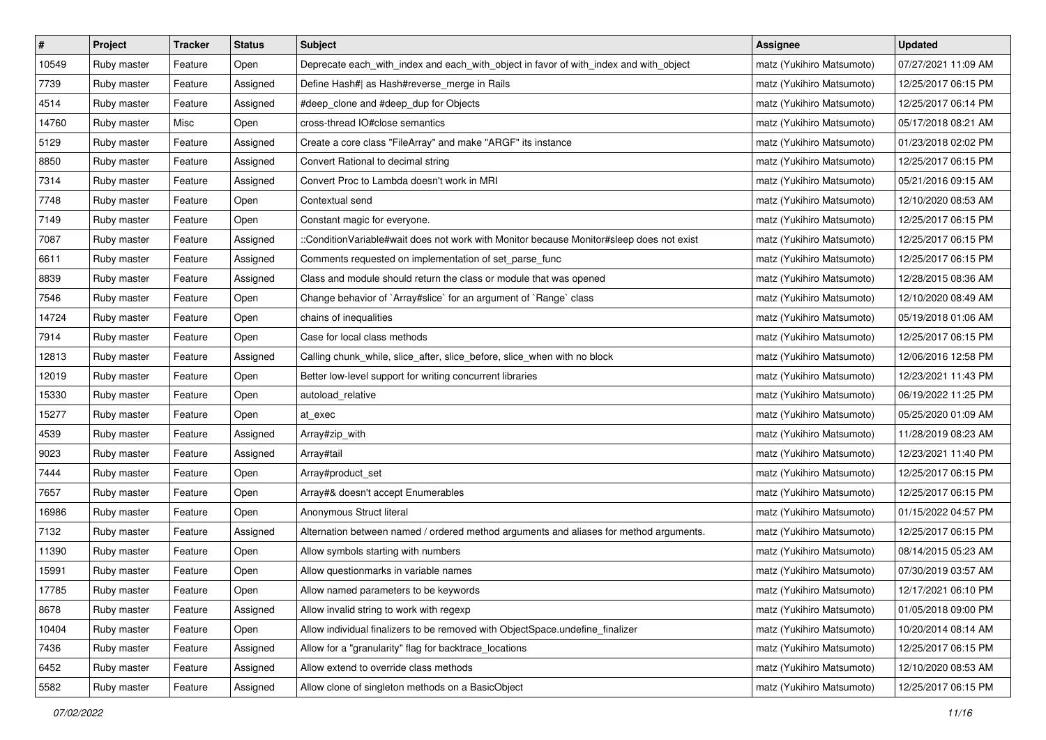| $\pmb{\#}$ | Project     | <b>Tracker</b> | <b>Status</b> | <b>Subject</b>                                                                           | Assignee                  | <b>Updated</b>      |
|------------|-------------|----------------|---------------|------------------------------------------------------------------------------------------|---------------------------|---------------------|
| 10549      | Ruby master | Feature        | Open          | Deprecate each_with_index and each_with_object in favor of with_index and with_object    | matz (Yukihiro Matsumoto) | 07/27/2021 11:09 AM |
| 7739       | Ruby master | Feature        | Assigned      | Define Hash#  as Hash#reverse_merge in Rails                                             | matz (Yukihiro Matsumoto) | 12/25/2017 06:15 PM |
| 4514       | Ruby master | Feature        | Assigned      | #deep_clone and #deep_dup for Objects                                                    | matz (Yukihiro Matsumoto) | 12/25/2017 06:14 PM |
| 14760      | Ruby master | Misc           | Open          | cross-thread IO#close semantics                                                          | matz (Yukihiro Matsumoto) | 05/17/2018 08:21 AM |
| 5129       | Ruby master | Feature        | Assigned      | Create a core class "FileArray" and make "ARGF" its instance                             | matz (Yukihiro Matsumoto) | 01/23/2018 02:02 PM |
| 8850       | Ruby master | Feature        | Assigned      | Convert Rational to decimal string                                                       | matz (Yukihiro Matsumoto) | 12/25/2017 06:15 PM |
| 7314       | Ruby master | Feature        | Assigned      | Convert Proc to Lambda doesn't work in MRI                                               | matz (Yukihiro Matsumoto) | 05/21/2016 09:15 AM |
| 7748       | Ruby master | Feature        | Open          | Contextual send                                                                          | matz (Yukihiro Matsumoto) | 12/10/2020 08:53 AM |
| 7149       | Ruby master | Feature        | Open          | Constant magic for everyone.                                                             | matz (Yukihiro Matsumoto) | 12/25/2017 06:15 PM |
| 7087       | Ruby master | Feature        | Assigned      | ::ConditionVariable#wait does not work with Monitor because Monitor#sleep does not exist | matz (Yukihiro Matsumoto) | 12/25/2017 06:15 PM |
| 6611       | Ruby master | Feature        | Assigned      | Comments requested on implementation of set_parse_func                                   | matz (Yukihiro Matsumoto) | 12/25/2017 06:15 PM |
| 8839       | Ruby master | Feature        | Assigned      | Class and module should return the class or module that was opened                       | matz (Yukihiro Matsumoto) | 12/28/2015 08:36 AM |
| 7546       | Ruby master | Feature        | Open          | Change behavior of `Array#slice` for an argument of `Range` class                        | matz (Yukihiro Matsumoto) | 12/10/2020 08:49 AM |
| 14724      | Ruby master | Feature        | Open          | chains of inequalities                                                                   | matz (Yukihiro Matsumoto) | 05/19/2018 01:06 AM |
| 7914       | Ruby master | Feature        | Open          | Case for local class methods                                                             | matz (Yukihiro Matsumoto) | 12/25/2017 06:15 PM |
| 12813      | Ruby master | Feature        | Assigned      | Calling chunk_while, slice_after, slice_before, slice_when with no block                 | matz (Yukihiro Matsumoto) | 12/06/2016 12:58 PM |
| 12019      | Ruby master | Feature        | Open          | Better low-level support for writing concurrent libraries                                | matz (Yukihiro Matsumoto) | 12/23/2021 11:43 PM |
| 15330      | Ruby master | Feature        | Open          | autoload_relative                                                                        | matz (Yukihiro Matsumoto) | 06/19/2022 11:25 PM |
| 15277      | Ruby master | Feature        | Open          | at exec                                                                                  | matz (Yukihiro Matsumoto) | 05/25/2020 01:09 AM |
| 4539       | Ruby master | Feature        | Assigned      | Array#zip_with                                                                           | matz (Yukihiro Matsumoto) | 11/28/2019 08:23 AM |
| 9023       | Ruby master | Feature        | Assigned      | Array#tail                                                                               | matz (Yukihiro Matsumoto) | 12/23/2021 11:40 PM |
| 7444       | Ruby master | Feature        | Open          | Array#product_set                                                                        | matz (Yukihiro Matsumoto) | 12/25/2017 06:15 PM |
| 7657       | Ruby master | Feature        | Open          | Array#& doesn't accept Enumerables                                                       | matz (Yukihiro Matsumoto) | 12/25/2017 06:15 PM |
| 16986      | Ruby master | Feature        | Open          | Anonymous Struct literal                                                                 | matz (Yukihiro Matsumoto) | 01/15/2022 04:57 PM |
| 7132       | Ruby master | Feature        | Assigned      | Alternation between named / ordered method arguments and aliases for method arguments.   | matz (Yukihiro Matsumoto) | 12/25/2017 06:15 PM |
| 11390      | Ruby master | Feature        | Open          | Allow symbols starting with numbers                                                      | matz (Yukihiro Matsumoto) | 08/14/2015 05:23 AM |
| 15991      | Ruby master | Feature        | Open          | Allow questionmarks in variable names                                                    | matz (Yukihiro Matsumoto) | 07/30/2019 03:57 AM |
| 17785      | Ruby master | Feature        | Open          | Allow named parameters to be keywords                                                    | matz (Yukihiro Matsumoto) | 12/17/2021 06:10 PM |
| 8678       | Ruby master | Feature        | Assigned      | Allow invalid string to work with regexp                                                 | matz (Yukihiro Matsumoto) | 01/05/2018 09:00 PM |
| 10404      | Ruby master | Feature        | Open          | Allow individual finalizers to be removed with ObjectSpace.undefine_finalizer            | matz (Yukihiro Matsumoto) | 10/20/2014 08:14 AM |
| 7436       | Ruby master | Feature        | Assigned      | Allow for a "granularity" flag for backtrace_locations                                   | matz (Yukihiro Matsumoto) | 12/25/2017 06:15 PM |
| 6452       | Ruby master | Feature        | Assigned      | Allow extend to override class methods                                                   | matz (Yukihiro Matsumoto) | 12/10/2020 08:53 AM |
| 5582       | Ruby master | Feature        | Assigned      | Allow clone of singleton methods on a BasicObject                                        | matz (Yukihiro Matsumoto) | 12/25/2017 06:15 PM |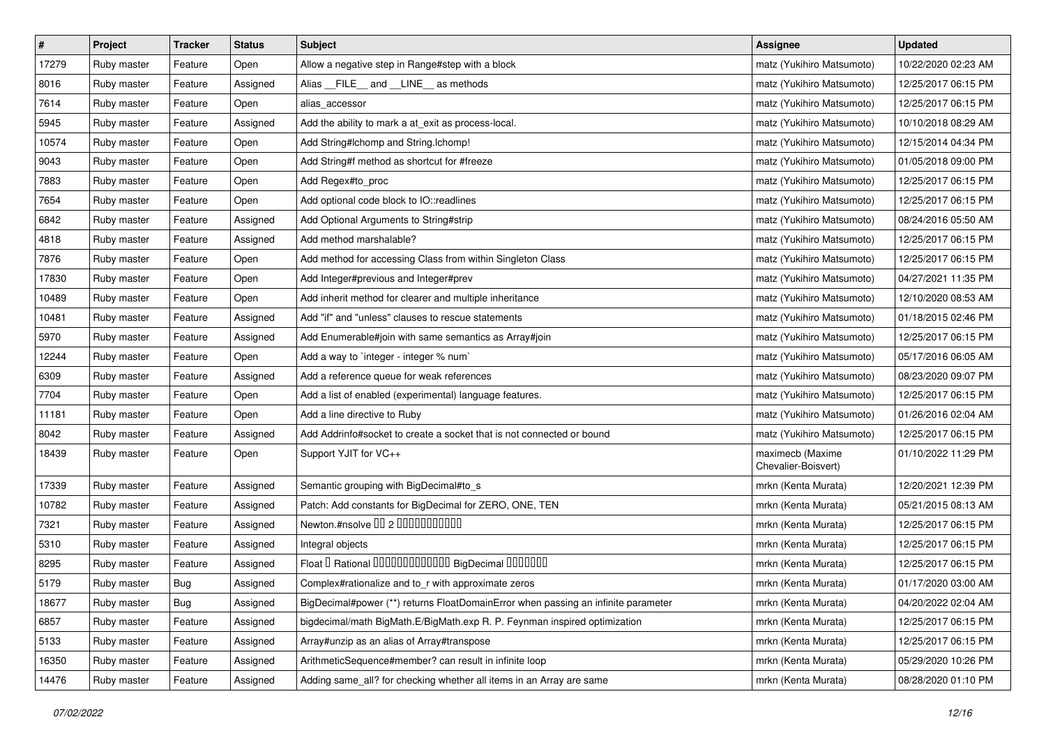| $\sharp$ | Project     | Tracker    | <b>Status</b> | <b>Subject</b>                                                                    | Assignee                                | <b>Updated</b>      |
|----------|-------------|------------|---------------|-----------------------------------------------------------------------------------|-----------------------------------------|---------------------|
| 17279    | Ruby master | Feature    | Open          | Allow a negative step in Range#step with a block                                  | matz (Yukihiro Matsumoto)               | 10/22/2020 02:23 AM |
| 8016     | Ruby master | Feature    | Assigned      | Alias __FILE__ and __LINE__ as methods                                            | matz (Yukihiro Matsumoto)               | 12/25/2017 06:15 PM |
| 7614     | Ruby master | Feature    | Open          | alias accessor                                                                    | matz (Yukihiro Matsumoto)               | 12/25/2017 06:15 PM |
| 5945     | Ruby master | Feature    | Assigned      | Add the ability to mark a at_exit as process-local.                               | matz (Yukihiro Matsumoto)               | 10/10/2018 08:29 AM |
| 10574    | Ruby master | Feature    | Open          | Add String#Ichomp and String.Ichomp!                                              | matz (Yukihiro Matsumoto)               | 12/15/2014 04:34 PM |
| 9043     | Ruby master | Feature    | Open          | Add String#f method as shortcut for #freeze                                       | matz (Yukihiro Matsumoto)               | 01/05/2018 09:00 PM |
| 7883     | Ruby master | Feature    | Open          | Add Regex#to_proc                                                                 | matz (Yukihiro Matsumoto)               | 12/25/2017 06:15 PM |
| 7654     | Ruby master | Feature    | Open          | Add optional code block to IO::readlines                                          | matz (Yukihiro Matsumoto)               | 12/25/2017 06:15 PM |
| 6842     | Ruby master | Feature    | Assigned      | Add Optional Arguments to String#strip                                            | matz (Yukihiro Matsumoto)               | 08/24/2016 05:50 AM |
| 4818     | Ruby master | Feature    | Assigned      | Add method marshalable?                                                           | matz (Yukihiro Matsumoto)               | 12/25/2017 06:15 PM |
| 7876     | Ruby master | Feature    | Open          | Add method for accessing Class from within Singleton Class                        | matz (Yukihiro Matsumoto)               | 12/25/2017 06:15 PM |
| 17830    | Ruby master | Feature    | Open          | Add Integer#previous and Integer#prev                                             | matz (Yukihiro Matsumoto)               | 04/27/2021 11:35 PM |
| 10489    | Ruby master | Feature    | Open          | Add inherit method for clearer and multiple inheritance                           | matz (Yukihiro Matsumoto)               | 12/10/2020 08:53 AM |
| 10481    | Ruby master | Feature    | Assigned      | Add "if" and "unless" clauses to rescue statements                                | matz (Yukihiro Matsumoto)               | 01/18/2015 02:46 PM |
| 5970     | Ruby master | Feature    | Assigned      | Add Enumerable#join with same semantics as Array#join                             | matz (Yukihiro Matsumoto)               | 12/25/2017 06:15 PM |
| 12244    | Ruby master | Feature    | Open          | Add a way to `integer - integer % num`                                            | matz (Yukihiro Matsumoto)               | 05/17/2016 06:05 AM |
| 6309     | Ruby master | Feature    | Assigned      | Add a reference queue for weak references                                         | matz (Yukihiro Matsumoto)               | 08/23/2020 09:07 PM |
| 7704     | Ruby master | Feature    | Open          | Add a list of enabled (experimental) language features.                           | matz (Yukihiro Matsumoto)               | 12/25/2017 06:15 PM |
| 11181    | Ruby master | Feature    | Open          | Add a line directive to Ruby                                                      | matz (Yukihiro Matsumoto)               | 01/26/2016 02:04 AM |
| 8042     | Ruby master | Feature    | Assigned      | Add Addrinfo#socket to create a socket that is not connected or bound             | matz (Yukihiro Matsumoto)               | 12/25/2017 06:15 PM |
| 18439    | Ruby master | Feature    | Open          | Support YJIT for VC++                                                             | maximecb (Maxime<br>Chevalier-Boisvert) | 01/10/2022 11:29 PM |
| 17339    | Ruby master | Feature    | Assigned      | Semantic grouping with BigDecimal#to_s                                            | mrkn (Kenta Murata)                     | 12/20/2021 12:39 PM |
| 10782    | Ruby master | Feature    | Assigned      | Patch: Add constants for BigDecimal for ZERO, ONE, TEN                            | mrkn (Kenta Murata)                     | 05/21/2015 08:13 AM |
| 7321     | Ruby master | Feature    | Assigned      | Newton.#nsolve 00 2 0000000000                                                    | mrkn (Kenta Murata)                     | 12/25/2017 06:15 PM |
| 5310     | Ruby master | Feature    | Assigned      | Integral objects                                                                  | mrkn (Kenta Murata)                     | 12/25/2017 06:15 PM |
| 8295     | Ruby master | Feature    | Assigned      | Float I Rational 0000000000000 BigDecimal 0000000                                 | mrkn (Kenta Murata)                     | 12/25/2017 06:15 PM |
| 5179     | Ruby master | <b>Bug</b> | Assigned      | Complex#rationalize and to_r with approximate zeros                               | mrkn (Kenta Murata)                     | 01/17/2020 03:00 AM |
| 18677    | Ruby master | <b>Bug</b> | Assigned      | BigDecimal#power (**) returns FloatDomainError when passing an infinite parameter | mrkn (Kenta Murata)                     | 04/20/2022 02:04 AM |
| 6857     | Ruby master | Feature    | Assigned      | bigdecimal/math BigMath.E/BigMath.exp R. P. Feynman inspired optimization         | mrkn (Kenta Murata)                     | 12/25/2017 06:15 PM |
| 5133     | Ruby master | Feature    | Assigned      | Array#unzip as an alias of Array#transpose                                        | mrkn (Kenta Murata)                     | 12/25/2017 06:15 PM |
| 16350    | Ruby master | Feature    | Assigned      | ArithmeticSequence#member? can result in infinite loop                            | mrkn (Kenta Murata)                     | 05/29/2020 10:26 PM |
| 14476    | Ruby master | Feature    | Assigned      | Adding same_all? for checking whether all items in an Array are same              | mrkn (Kenta Murata)                     | 08/28/2020 01:10 PM |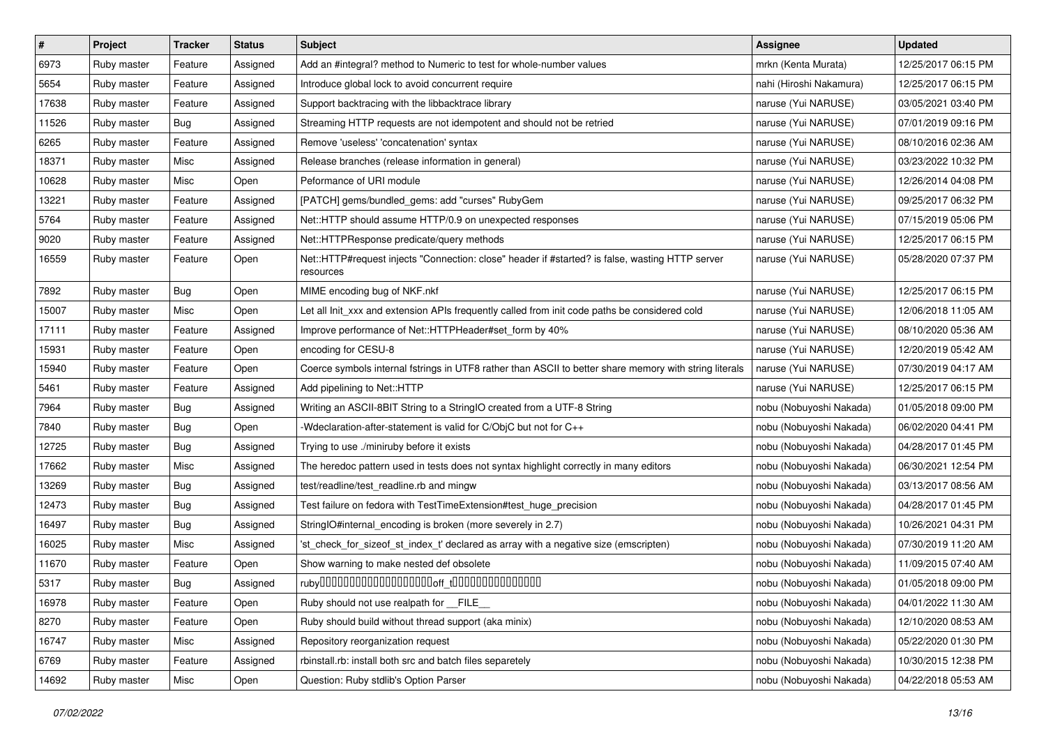| $\pmb{\#}$ | Project     | <b>Tracker</b> | <b>Status</b> | <b>Subject</b>                                                                                               | <b>Assignee</b>         | <b>Updated</b>      |
|------------|-------------|----------------|---------------|--------------------------------------------------------------------------------------------------------------|-------------------------|---------------------|
| 6973       | Ruby master | Feature        | Assigned      | Add an #integral? method to Numeric to test for whole-number values                                          | mrkn (Kenta Murata)     | 12/25/2017 06:15 PM |
| 5654       | Ruby master | Feature        | Assigned      | Introduce global lock to avoid concurrent require                                                            | nahi (Hiroshi Nakamura) | 12/25/2017 06:15 PM |
| 17638      | Ruby master | Feature        | Assigned      | Support backtracing with the libbacktrace library                                                            | naruse (Yui NARUSE)     | 03/05/2021 03:40 PM |
| 11526      | Ruby master | Bug            | Assigned      | Streaming HTTP requests are not idempotent and should not be retried                                         | naruse (Yui NARUSE)     | 07/01/2019 09:16 PM |
| 6265       | Ruby master | Feature        | Assigned      | Remove 'useless' 'concatenation' syntax                                                                      | naruse (Yui NARUSE)     | 08/10/2016 02:36 AM |
| 18371      | Ruby master | Misc           | Assigned      | Release branches (release information in general)                                                            | naruse (Yui NARUSE)     | 03/23/2022 10:32 PM |
| 10628      | Ruby master | Misc           | Open          | Peformance of URI module                                                                                     | naruse (Yui NARUSE)     | 12/26/2014 04:08 PM |
| 13221      | Ruby master | Feature        | Assigned      | [PATCH] gems/bundled_gems: add "curses" RubyGem                                                              | naruse (Yui NARUSE)     | 09/25/2017 06:32 PM |
| 5764       | Ruby master | Feature        | Assigned      | Net::HTTP should assume HTTP/0.9 on unexpected responses                                                     | naruse (Yui NARUSE)     | 07/15/2019 05:06 PM |
| 9020       | Ruby master | Feature        | Assigned      | Net::HTTPResponse predicate/query methods                                                                    | naruse (Yui NARUSE)     | 12/25/2017 06:15 PM |
| 16559      | Ruby master | Feature        | Open          | Net::HTTP#request injects "Connection: close" header if #started? is false, wasting HTTP server<br>resources | naruse (Yui NARUSE)     | 05/28/2020 07:37 PM |
| 7892       | Ruby master | <b>Bug</b>     | Open          | MIME encoding bug of NKF.nkf                                                                                 | naruse (Yui NARUSE)     | 12/25/2017 06:15 PM |
| 15007      | Ruby master | Misc           | Open          | Let all Init_xxx and extension APIs frequently called from init code paths be considered cold                | naruse (Yui NARUSE)     | 12/06/2018 11:05 AM |
| 17111      | Ruby master | Feature        | Assigned      | Improve performance of Net::HTTPHeader#set_form by 40%                                                       | naruse (Yui NARUSE)     | 08/10/2020 05:36 AM |
| 15931      | Ruby master | Feature        | Open          | encoding for CESU-8                                                                                          | naruse (Yui NARUSE)     | 12/20/2019 05:42 AM |
| 15940      | Ruby master | Feature        | Open          | Coerce symbols internal fstrings in UTF8 rather than ASCII to better share memory with string literals       | naruse (Yui NARUSE)     | 07/30/2019 04:17 AM |
| 5461       | Ruby master | Feature        | Assigned      | Add pipelining to Net::HTTP                                                                                  | naruse (Yui NARUSE)     | 12/25/2017 06:15 PM |
| 7964       | Ruby master | Bug            | Assigned      | Writing an ASCII-8BIT String to a StringIO created from a UTF-8 String                                       | nobu (Nobuyoshi Nakada) | 01/05/2018 09:00 PM |
| 7840       | Ruby master | <b>Bug</b>     | Open          | -Wdeclaration-after-statement is valid for C/ObjC but not for C++                                            | nobu (Nobuyoshi Nakada) | 06/02/2020 04:41 PM |
| 12725      | Ruby master | <b>Bug</b>     | Assigned      | Trying to use ./miniruby before it exists                                                                    | nobu (Nobuyoshi Nakada) | 04/28/2017 01:45 PM |
| 17662      | Ruby master | Misc           | Assigned      | The heredoc pattern used in tests does not syntax highlight correctly in many editors                        | nobu (Nobuyoshi Nakada) | 06/30/2021 12:54 PM |
| 13269      | Ruby master | <b>Bug</b>     | Assigned      | test/readline/test_readline.rb and mingw                                                                     | nobu (Nobuyoshi Nakada) | 03/13/2017 08:56 AM |
| 12473      | Ruby master | <b>Bug</b>     | Assigned      | Test failure on fedora with TestTimeExtension#test_huge_precision                                            | nobu (Nobuyoshi Nakada) | 04/28/2017 01:45 PM |
| 16497      | Ruby master | <b>Bug</b>     | Assigned      | StringIO#internal_encoding is broken (more severely in 2.7)                                                  | nobu (Nobuyoshi Nakada) | 10/26/2021 04:31 PM |
| 16025      | Ruby master | Misc           | Assigned      | 'st_check_for_sizeof_st_index_t' declared as array with a negative size (emscripten)                         | nobu (Nobuyoshi Nakada) | 07/30/2019 11:20 AM |
| 11670      | Ruby master | Feature        | Open          | Show warning to make nested def obsolete                                                                     | nobu (Nobuyoshi Nakada) | 11/09/2015 07:40 AM |
| 5317       | Ruby master | <b>Bug</b>     | Assigned      |                                                                                                              | nobu (Nobuyoshi Nakada) | 01/05/2018 09:00 PM |
| 16978      | Ruby master | Feature        | Open          | Ruby should not use realpath for FILE                                                                        | nobu (Nobuyoshi Nakada) | 04/01/2022 11:30 AM |
| 8270       | Ruby master | Feature        | Open          | Ruby should build without thread support (aka minix)                                                         | nobu (Nobuyoshi Nakada) | 12/10/2020 08:53 AM |
| 16747      | Ruby master | Misc           | Assigned      | Repository reorganization request                                                                            | nobu (Nobuyoshi Nakada) | 05/22/2020 01:30 PM |
| 6769       | Ruby master | Feature        | Assigned      | rbinstall.rb: install both src and batch files separetely                                                    | nobu (Nobuyoshi Nakada) | 10/30/2015 12:38 PM |
| 14692      | Ruby master | Misc           | Open          | Question: Ruby stdlib's Option Parser                                                                        | nobu (Nobuyoshi Nakada) | 04/22/2018 05:53 AM |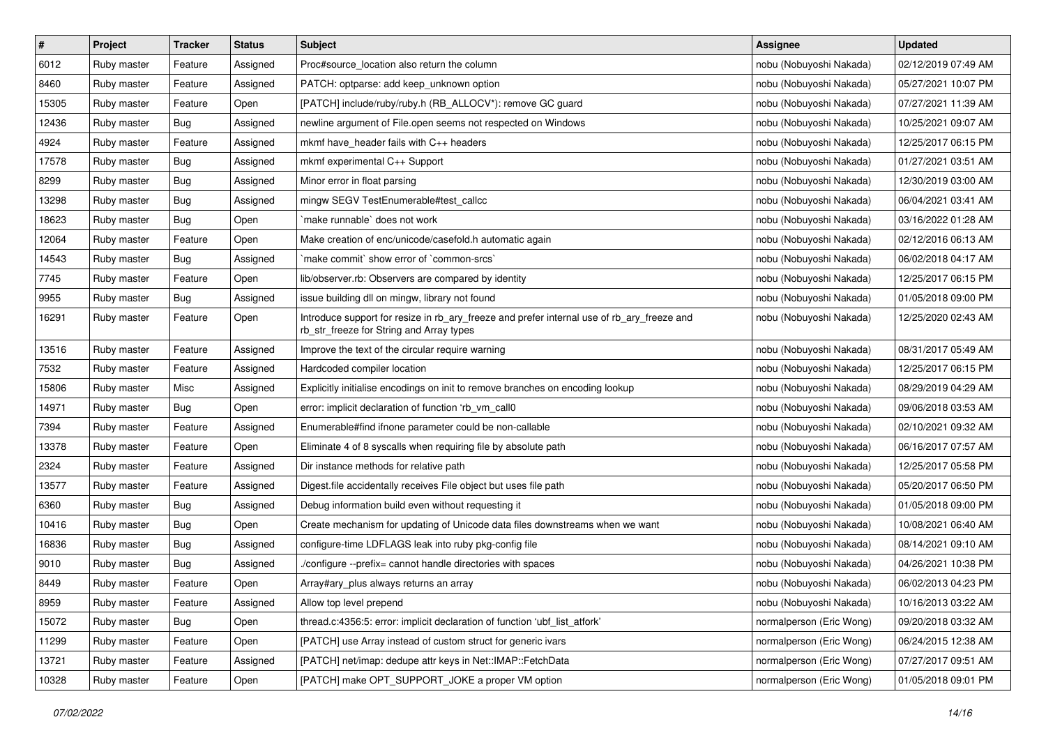| $\pmb{\#}$ | Project     | <b>Tracker</b> | <b>Status</b> | <b>Subject</b>                                                                                                                         | <b>Assignee</b>          | <b>Updated</b>      |
|------------|-------------|----------------|---------------|----------------------------------------------------------------------------------------------------------------------------------------|--------------------------|---------------------|
| 6012       | Ruby master | Feature        | Assigned      | Proc#source_location also return the column                                                                                            | nobu (Nobuyoshi Nakada)  | 02/12/2019 07:49 AM |
| 8460       | Ruby master | Feature        | Assigned      | PATCH: optparse: add keep_unknown option                                                                                               | nobu (Nobuyoshi Nakada)  | 05/27/2021 10:07 PM |
| 15305      | Ruby master | Feature        | Open          | [PATCH] include/ruby/ruby.h (RB_ALLOCV*): remove GC guard                                                                              | nobu (Nobuyoshi Nakada)  | 07/27/2021 11:39 AM |
| 12436      | Ruby master | Bug            | Assigned      | newline argument of File.open seems not respected on Windows                                                                           | nobu (Nobuyoshi Nakada)  | 10/25/2021 09:07 AM |
| 4924       | Ruby master | Feature        | Assigned      | mkmf have header fails with C++ headers                                                                                                | nobu (Nobuyoshi Nakada)  | 12/25/2017 06:15 PM |
| 17578      | Ruby master | <b>Bug</b>     | Assigned      | mkmf experimental C++ Support                                                                                                          | nobu (Nobuyoshi Nakada)  | 01/27/2021 03:51 AM |
| 8299       | Ruby master | Bug            | Assigned      | Minor error in float parsing                                                                                                           | nobu (Nobuyoshi Nakada)  | 12/30/2019 03:00 AM |
| 13298      | Ruby master | <b>Bug</b>     | Assigned      | mingw SEGV TestEnumerable#test callcc                                                                                                  | nobu (Nobuyoshi Nakada)  | 06/04/2021 03:41 AM |
| 18623      | Ruby master | <b>Bug</b>     | Open          | make runnable' does not work                                                                                                           | nobu (Nobuyoshi Nakada)  | 03/16/2022 01:28 AM |
| 12064      | Ruby master | Feature        | Open          | Make creation of enc/unicode/casefold.h automatic again                                                                                | nobu (Nobuyoshi Nakada)  | 02/12/2016 06:13 AM |
| 14543      | Ruby master | Bug            | Assigned      | 'make commit' show error of 'common-srcs'                                                                                              | nobu (Nobuyoshi Nakada)  | 06/02/2018 04:17 AM |
| 7745       | Ruby master | Feature        | Open          | lib/observer.rb: Observers are compared by identity                                                                                    | nobu (Nobuyoshi Nakada)  | 12/25/2017 06:15 PM |
| 9955       | Ruby master | Bug            | Assigned      | issue building dll on mingw, library not found                                                                                         | nobu (Nobuyoshi Nakada)  | 01/05/2018 09:00 PM |
| 16291      | Ruby master | Feature        | Open          | Introduce support for resize in rb_ary_freeze and prefer internal use of rb_ary_freeze and<br>rb_str_freeze for String and Array types | nobu (Nobuyoshi Nakada)  | 12/25/2020 02:43 AM |
| 13516      | Ruby master | Feature        | Assigned      | Improve the text of the circular require warning                                                                                       | nobu (Nobuyoshi Nakada)  | 08/31/2017 05:49 AM |
| 7532       | Ruby master | Feature        | Assigned      | Hardcoded compiler location                                                                                                            | nobu (Nobuyoshi Nakada)  | 12/25/2017 06:15 PM |
| 15806      | Ruby master | Misc           | Assigned      | Explicitly initialise encodings on init to remove branches on encoding lookup                                                          | nobu (Nobuyoshi Nakada)  | 08/29/2019 04:29 AM |
| 14971      | Ruby master | Bug            | Open          | error: implicit declaration of function 'rb_vm_call0                                                                                   | nobu (Nobuyoshi Nakada)  | 09/06/2018 03:53 AM |
| 7394       | Ruby master | Feature        | Assigned      | Enumerable#find ifnone parameter could be non-callable                                                                                 | nobu (Nobuyoshi Nakada)  | 02/10/2021 09:32 AM |
| 13378      | Ruby master | Feature        | Open          | Eliminate 4 of 8 syscalls when requiring file by absolute path                                                                         | nobu (Nobuyoshi Nakada)  | 06/16/2017 07:57 AM |
| 2324       | Ruby master | Feature        | Assigned      | Dir instance methods for relative path                                                                                                 | nobu (Nobuyoshi Nakada)  | 12/25/2017 05:58 PM |
| 13577      | Ruby master | Feature        | Assigned      | Digest.file accidentally receives File object but uses file path                                                                       | nobu (Nobuyoshi Nakada)  | 05/20/2017 06:50 PM |
| 6360       | Ruby master | <b>Bug</b>     | Assigned      | Debug information build even without requesting it                                                                                     | nobu (Nobuyoshi Nakada)  | 01/05/2018 09:00 PM |
| 10416      | Ruby master | <b>Bug</b>     | Open          | Create mechanism for updating of Unicode data files downstreams when we want                                                           | nobu (Nobuyoshi Nakada)  | 10/08/2021 06:40 AM |
| 16836      | Ruby master | <b>Bug</b>     | Assigned      | configure-time LDFLAGS leak into ruby pkg-config file                                                                                  | nobu (Nobuyoshi Nakada)  | 08/14/2021 09:10 AM |
| 9010       | Ruby master | <b>Bug</b>     | Assigned      | ./configure --prefix= cannot handle directories with spaces                                                                            | nobu (Nobuyoshi Nakada)  | 04/26/2021 10:38 PM |
| 8449       | Ruby master | Feature        | Open          | Array#ary_plus always returns an array                                                                                                 | nobu (Nobuyoshi Nakada)  | 06/02/2013 04:23 PM |
| 8959       | Ruby master | Feature        | Assigned      | Allow top level prepend                                                                                                                | nobu (Nobuyoshi Nakada)  | 10/16/2013 03:22 AM |
| 15072      | Ruby master | <b>Bug</b>     | Open          | thread.c:4356:5: error: implicit declaration of function 'ubf_list_atfork'                                                             | normalperson (Eric Wong) | 09/20/2018 03:32 AM |
| 11299      | Ruby master | Feature        | Open          | [PATCH] use Array instead of custom struct for generic ivars                                                                           | normalperson (Eric Wong) | 06/24/2015 12:38 AM |
| 13721      | Ruby master | Feature        | Assigned      | [PATCH] net/imap: dedupe attr keys in Net::IMAP::FetchData                                                                             | normalperson (Eric Wong) | 07/27/2017 09:51 AM |
| 10328      | Ruby master | Feature        | Open          | [PATCH] make OPT_SUPPORT_JOKE a proper VM option                                                                                       | normalperson (Eric Wong) | 01/05/2018 09:01 PM |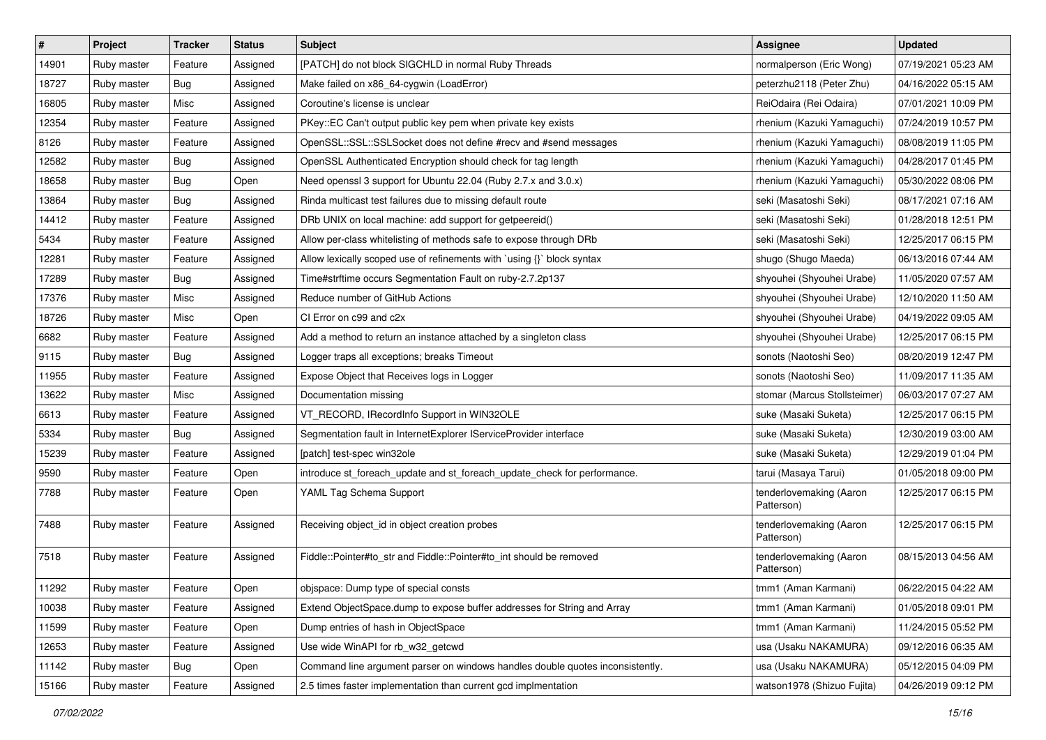| $\vert$ # | Project     | Tracker    | <b>Status</b> | <b>Subject</b>                                                                | <b>Assignee</b>                       | <b>Updated</b>      |
|-----------|-------------|------------|---------------|-------------------------------------------------------------------------------|---------------------------------------|---------------------|
| 14901     | Ruby master | Feature    | Assigned      | [PATCH] do not block SIGCHLD in normal Ruby Threads                           | normalperson (Eric Wong)              | 07/19/2021 05:23 AM |
| 18727     | Ruby master | Bug        | Assigned      | Make failed on x86_64-cygwin (LoadError)                                      | peterzhu2118 (Peter Zhu)              | 04/16/2022 05:15 AM |
| 16805     | Ruby master | Misc       | Assigned      | Coroutine's license is unclear                                                | ReiOdaira (Rei Odaira)                | 07/01/2021 10:09 PM |
| 12354     | Ruby master | Feature    | Assigned      | PKey::EC Can't output public key pem when private key exists                  | rhenium (Kazuki Yamaguchi)            | 07/24/2019 10:57 PM |
| 8126      | Ruby master | Feature    | Assigned      | OpenSSL::SSL::SSLSocket does not define #recv and #send messages              | rhenium (Kazuki Yamaguchi)            | 08/08/2019 11:05 PM |
| 12582     | Ruby master | <b>Bug</b> | Assigned      | OpenSSL Authenticated Encryption should check for tag length                  | rhenium (Kazuki Yamaguchi)            | 04/28/2017 01:45 PM |
| 18658     | Ruby master | Bug        | Open          | Need openssl 3 support for Ubuntu 22.04 (Ruby 2.7.x and 3.0.x)                | rhenium (Kazuki Yamaguchi)            | 05/30/2022 08:06 PM |
| 13864     | Ruby master | <b>Bug</b> | Assigned      | Rinda multicast test failures due to missing default route                    | seki (Masatoshi Seki)                 | 08/17/2021 07:16 AM |
| 14412     | Ruby master | Feature    | Assigned      | DRb UNIX on local machine: add support for getpeereid()                       | seki (Masatoshi Seki)                 | 01/28/2018 12:51 PM |
| 5434      | Ruby master | Feature    | Assigned      | Allow per-class whitelisting of methods safe to expose through DRb            | seki (Masatoshi Seki)                 | 12/25/2017 06:15 PM |
| 12281     | Ruby master | Feature    | Assigned      | Allow lexically scoped use of refinements with `using {}` block syntax        | shugo (Shugo Maeda)                   | 06/13/2016 07:44 AM |
| 17289     | Ruby master | <b>Bug</b> | Assigned      | Time#strftime occurs Segmentation Fault on ruby-2.7.2p137                     | shyouhei (Shyouhei Urabe)             | 11/05/2020 07:57 AM |
| 17376     | Ruby master | Misc       | Assigned      | Reduce number of GitHub Actions                                               | shyouhei (Shyouhei Urabe)             | 12/10/2020 11:50 AM |
| 18726     | Ruby master | Misc       | Open          | CI Error on c99 and c2x                                                       | shyouhei (Shyouhei Urabe)             | 04/19/2022 09:05 AM |
| 6682      | Ruby master | Feature    | Assigned      | Add a method to return an instance attached by a singleton class              | shyouhei (Shyouhei Urabe)             | 12/25/2017 06:15 PM |
| 9115      | Ruby master | <b>Bug</b> | Assigned      | Logger traps all exceptions; breaks Timeout                                   | sonots (Naotoshi Seo)                 | 08/20/2019 12:47 PM |
| 11955     | Ruby master | Feature    | Assigned      | Expose Object that Receives logs in Logger                                    | sonots (Naotoshi Seo)                 | 11/09/2017 11:35 AM |
| 13622     | Ruby master | Misc       | Assigned      | Documentation missing                                                         | stomar (Marcus Stollsteimer)          | 06/03/2017 07:27 AM |
| 6613      | Ruby master | Feature    | Assigned      | VT_RECORD, IRecordInfo Support in WIN32OLE                                    | suke (Masaki Suketa)                  | 12/25/2017 06:15 PM |
| 5334      | Ruby master | <b>Bug</b> | Assigned      | Segmentation fault in InternetExplorer IServiceProvider interface             | suke (Masaki Suketa)                  | 12/30/2019 03:00 AM |
| 15239     | Ruby master | Feature    | Assigned      | [patch] test-spec win32ole                                                    | suke (Masaki Suketa)                  | 12/29/2019 01:04 PM |
| 9590      | Ruby master | Feature    | Open          | introduce st_foreach_update and st_foreach_update_check for performance.      | tarui (Masaya Tarui)                  | 01/05/2018 09:00 PM |
| 7788      | Ruby master | Feature    | Open          | YAML Tag Schema Support                                                       | tenderlovemaking (Aaron<br>Patterson) | 12/25/2017 06:15 PM |
| 7488      | Ruby master | Feature    | Assigned      | Receiving object_id in object creation probes                                 | tenderlovemaking (Aaron<br>Patterson) | 12/25/2017 06:15 PM |
| 7518      | Ruby master | Feature    | Assigned      | Fiddle::Pointer#to_str and Fiddle::Pointer#to_int should be removed           | tenderlovemaking (Aaron<br>Patterson) | 08/15/2013 04:56 AM |
| 11292     | Ruby master | Feature    | Open          | objspace: Dump type of special consts                                         | tmm1 (Aman Karmani)                   | 06/22/2015 04:22 AM |
| 10038     | Ruby master | Feature    | Assigned      | Extend ObjectSpace.dump to expose buffer addresses for String and Array       | tmm1 (Aman Karmani)                   | 01/05/2018 09:01 PM |
| 11599     | Ruby master | Feature    | Open          | Dump entries of hash in ObjectSpace                                           | tmm1 (Aman Karmani)                   | 11/24/2015 05:52 PM |
| 12653     | Ruby master | Feature    | Assigned      | Use wide WinAPI for rb_w32_getcwd                                             | usa (Usaku NAKAMURA)                  | 09/12/2016 06:35 AM |
| 11142     | Ruby master | Bug        | Open          | Command line argument parser on windows handles double quotes inconsistently. | usa (Usaku NAKAMURA)                  | 05/12/2015 04:09 PM |
| 15166     | Ruby master | Feature    | Assigned      | 2.5 times faster implementation than current gcd implmentation                | watson1978 (Shizuo Fujita)            | 04/26/2019 09:12 PM |